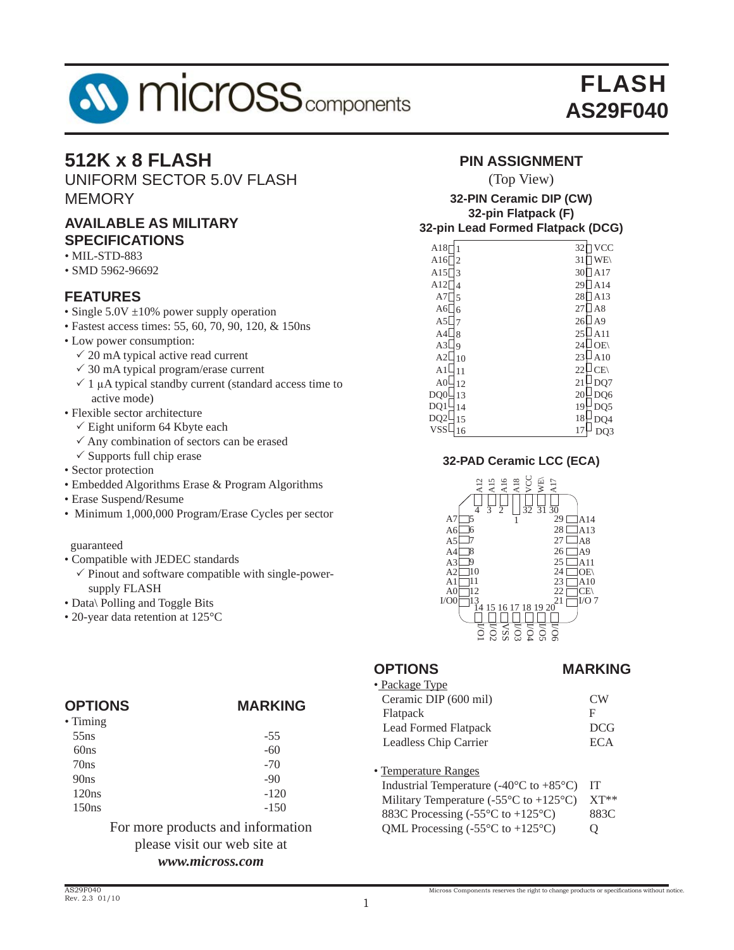

# **512K x 8 FLASH**

UNIFORM SECTOR 5.0V FLASH **MEMORY** 

# **AVAILABLE AS MILITARY SPECIFICATIONS**

- MIL-STD-883
- SMD 5962-96692

## **FEATURES**

- Single 5.0V ±10% power supply operation
- Fastest access times: 55, 60, 70, 90, 120, & 150ns
- Low power consumption:
	- $\checkmark$  20 mA typical active read current
	- $\checkmark$  30 mA typical program/erase current
	- $\checkmark$  1 μA typical standby current (standard access time to active mode)
- Flexible sector architecture
	- $\checkmark$  Eight uniform 64 Kbyte each
	- $\checkmark$  Any combination of sectors can be erased
- $\checkmark$  Supports full chip erase
- Sector protection
- Embedded Algorithms Erase & Program Algorithms
- Erase Suspend/Resume
- Minimum 1,000,000 Program/Erase Cycles per sector

### guaranteed

- Compatible with JEDEC standards
	- $\checkmark$  Pinout and software compatible with single-powersupply FLASH
- Data\ Polling and Toggle Bits
- 20-year data retention at 125°C

| <b>OPTIONS</b>   | <b>MARKING</b> |
|------------------|----------------|
| $\bullet$ Timing |                |
| 55ns             | $-55$          |
| 60ns             | $-60$          |
| 70ns             | $-70$          |
| 90ns             | $-90$          |
| 120ns            | $-120$         |
| 150ns            | $-150$         |
|                  |                |

### For more products and information please visit our web site at *www.micross.com*

# **PIN ASSIGNMENT**

### (Top View)

### **32-PIN Ceramic DIP (CW) 32-pin Flatpack (F) 32-pin Lead Formed Flatpack (DCG)**

| A18              | <b>VCC</b><br>32     |
|------------------|----------------------|
| A16              | 31                   |
| $\overline{c}$   | WE\                  |
| A15              | 30                   |
| 3                | A17                  |
| A12              | 29                   |
| 4                | A14                  |
| A7               | 28                   |
| 5                | A13                  |
| A6               | 27                   |
| 6                | A8                   |
| A5               | A <sub>9</sub><br>26 |
| A4               | 25                   |
| $\mathbf{8}$     | A 11                 |
| A3               | OE\                  |
| 9                | 24                   |
| A <sub>2</sub>   | 23                   |
| 10               | A10                  |
| A <sub>1</sub>   | CE(                  |
| 11               | 22                   |
| A <sub>0</sub>   | 21                   |
| 12               | DQ7                  |
| DQ0              | 20                   |
| 13               | DQ6                  |
| DQ1              | 19                   |
| 14               | DQ5                  |
| DQ <sub>2</sub>  | 18                   |
| 15               | DO4                  |
| <b>VSS</b><br>16 | 17                   |

### **32-PAD Ceramic LCC (ECA)**



### **OPTIONS MARKING**

| VCC<br>A18<br>A16<br>WE<br>A <sub>15</sub><br>A <sub>17</sub><br>$\frac{1}{4}$<br>$\overline{31}$ $\overline{30}$<br>$\overline{32}$<br>29<br>A7<br>28 <sup>1</sup><br>A6<br>16<br>27 <sub>1</sub><br>A <sub>5</sub><br>17<br>261<br>18<br>A <sub>4</sub><br>19<br>25<br>A3<br>110<br>24<br>A <sub>2</sub><br>A1<br>11<br>23<br>22<br>12<br>A <sub>0</sub><br>21<br>$^{13}_{14}$ 15 16 17 18 19 20<br>I/OO<br><u>ទីនិន្ទីទីន្ទីទី</u> | A14<br>A13<br>A8<br>A9<br>A11<br>OE\<br>A10<br>$CE\setminus$<br>I/O 7 |
|---------------------------------------------------------------------------------------------------------------------------------------------------------------------------------------------------------------------------------------------------------------------------------------------------------------------------------------------------------------------------------------------------------------------------------------|-----------------------------------------------------------------------|
| <b>OPTIONS</b>                                                                                                                                                                                                                                                                                                                                                                                                                        | <b>MARKIN</b>                                                         |
| • Package Type<br>Ceramic DIP (600 mil)                                                                                                                                                                                                                                                                                                                                                                                               | CW                                                                    |
|                                                                                                                                                                                                                                                                                                                                                                                                                                       | F                                                                     |
| Flatpack<br>Lead Formed Flatpack                                                                                                                                                                                                                                                                                                                                                                                                      | <b>DCG</b>                                                            |
|                                                                                                                                                                                                                                                                                                                                                                                                                                       | <b>ECA</b>                                                            |
| Leadless Chip Carrier                                                                                                                                                                                                                                                                                                                                                                                                                 |                                                                       |
| • Temperature Ranges                                                                                                                                                                                                                                                                                                                                                                                                                  |                                                                       |
| Industrial Temperature (-40 $\rm{^{\circ}C}$ to +85 $\rm{^{\circ}C}$ )                                                                                                                                                                                                                                                                                                                                                                | <b>IT</b>                                                             |
| Military Temperature (-55 $\mathrm{^{\circ}C}$ to +125 $\mathrm{^{\circ}C}$ )                                                                                                                                                                                                                                                                                                                                                         | XT**                                                                  |
| 883C Processing (-55°C to +125°C)                                                                                                                                                                                                                                                                                                                                                                                                     | 883C                                                                  |
| QML Processing $(-55^{\circ}C \text{ to } +125^{\circ}C)$                                                                                                                                                                                                                                                                                                                                                                             | Q                                                                     |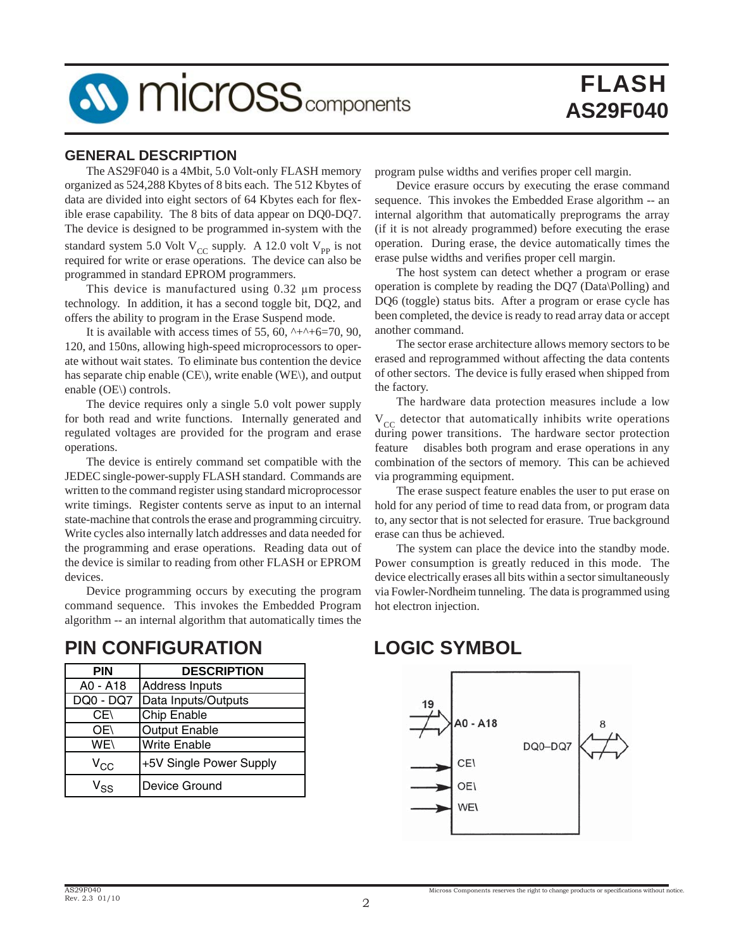

### **GENERAL DESCRIPTION**

 The AS29F040 is a 4Mbit, 5.0 Volt-only FLASH memory organized as 524,288 Kbytes of 8 bits each. The 512 Kbytes of data are divided into eight sectors of 64 Kbytes each for flexible erase capability. The 8 bits of data appear on DQ0-DQ7. The device is designed to be programmed in-system with the standard system 5.0 Volt  $V_{CC}$  supply. A 12.0 volt  $V_{PP}$  is not required for write or erase operations. The device can also be programmed in standard EPROM programmers.

 This device is manufactured using 0.32 μm process technology. In addition, it has a second toggle bit, DQ2, and offers the ability to program in the Erase Suspend mode.

It is available with access times of 55, 60,  $\lambda + \lambda + 6 = 70$ , 90, 120, and 150ns, allowing high-speed microprocessors to operate without wait states. To eliminate bus contention the device has separate chip enable (CE\), write enable (WE\), and output enable (OE\) controls.

 The device requires only a single 5.0 volt power supply for both read and write functions. Internally generated and regulated voltages are provided for the program and erase operations.

 The device is entirely command set compatible with the JEDEC single-power-supply FLASH standard. Commands are written to the command register using standard microprocessor write timings. Register contents serve as input to an internal state-machine that controls the erase and programming circuitry. Write cycles also internally latch addresses and data needed for the programming and erase operations. Reading data out of the device is similar to reading from other FLASH or EPROM devices.

 Device programming occurs by executing the program command sequence. This invokes the Embedded Program algorithm -- an internal algorithm that automatically times the

**PIN DESCRIPTION** A0 - A18 Address Inputs DQ0 - DQ7 Data Inputs/Outputs CE\ Chip Enable OE\ **Output Enable** WE\ | Write Enable  $V_{\text{CC}}$  |+5V Single Power Supply  $V_{SS}$  Device Ground

# **PIN CONFIGURATION LOGIC SYMBOL**

program pulse widths and verifies proper cell margin.

 Device erasure occurs by executing the erase command sequence. This invokes the Embedded Erase algorithm -- an internal algorithm that automatically preprograms the array (if it is not already programmed) before executing the erase operation. During erase, the device automatically times the erase pulse widths and verifies proper cell margin.

 The host system can detect whether a program or erase operation is complete by reading the DQ7 (Data\Polling) and DQ6 (toggle) status bits. After a program or erase cycle has been completed, the device is ready to read array data or accept another command.

 The sector erase architecture allows memory sectors to be erased and reprogrammed without affecting the data contents of other sectors. The device is fully erased when shipped from the factory.

 The hardware data protection measures include a low  $V_{CC}$  detector that automatically inhibits write operations during power transitions. The hardware sector protection feature disables both program and erase operations in any combination of the sectors of memory. This can be achieved via programming equipment.

 The erase suspect feature enables the user to put erase on hold for any period of time to read data from, or program data to, any sector that is not selected for erasure. True background erase can thus be achieved.

 The system can place the device into the standby mode. Power consumption is greatly reduced in this mode. The device electrically erases all bits within a sector simultaneously via Fowler-Nordheim tunneling. The data is programmed using hot electron injection.

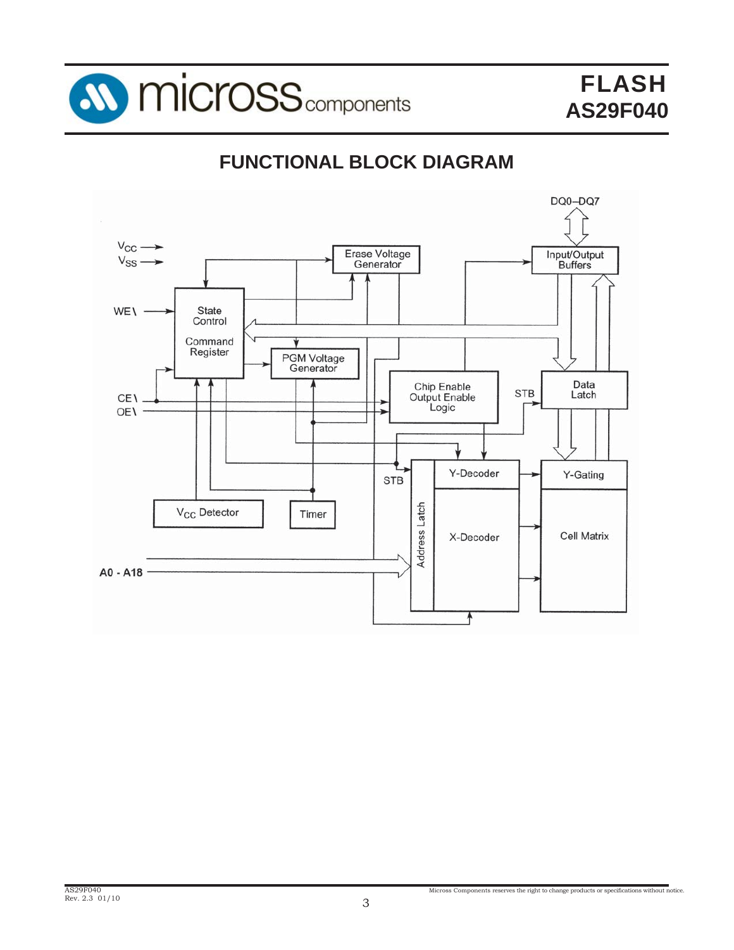

# **FUNCTIONAL BLOCK DIAGRAM**

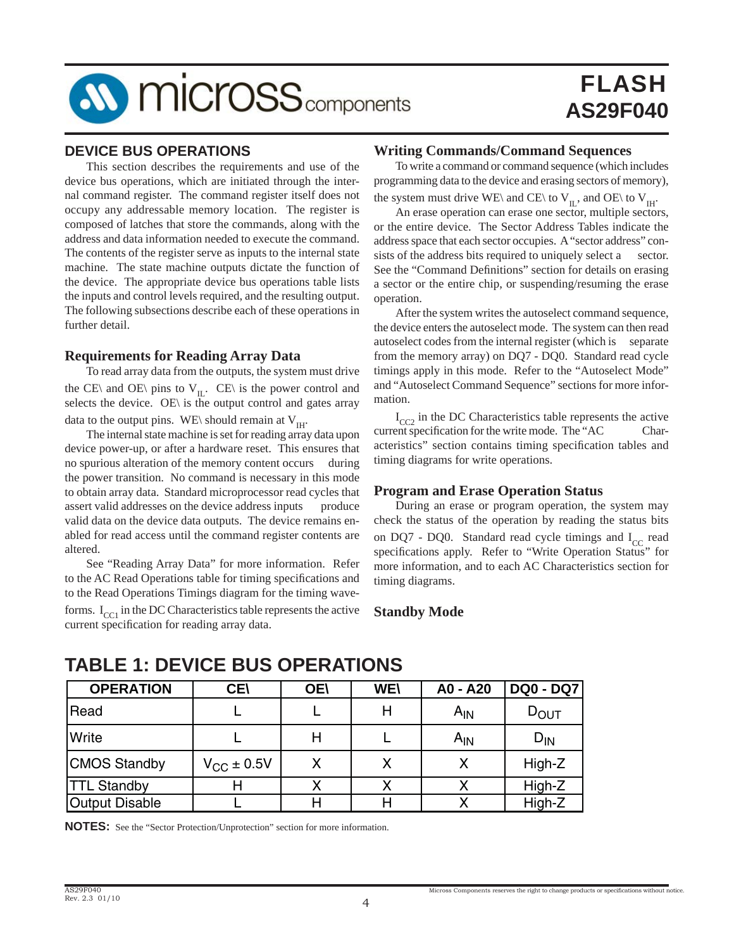

### **DEVICE BUS OPERATIONS**

 This section describes the requirements and use of the device bus operations, which are initiated through the internal command register. The command register itself does not occupy any addressable memory location. The register is composed of latches that store the commands, along with the address and data information needed to execute the command. The contents of the register serve as inputs to the internal state machine. The state machine outputs dictate the function of the device. The appropriate device bus operations table lists the inputs and control levels required, and the resulting output. The following subsections describe each of these operations in further detail.

### **Requirements for Reading Array Data**

 To read array data from the outputs, the system must drive the CE\ and OE\ pins to  $V_{II}$ . CE\ is the power control and selects the device. OE\ is the output control and gates array data to the output pins. WE\ should remain at  $V<sub>HH</sub>$ .

 The internal state machine is set for reading array data upon device power-up, or after a hardware reset. This ensures that no spurious alteration of the memory content occurs during the power transition. No command is necessary in this mode to obtain array data. Standard microprocessor read cycles that assert valid addresses on the device address inputs produce valid data on the device data outputs. The device remains enabled for read access until the command register contents are altered.

 See "Reading Array Data" for more information. Refer to the AC Read Operations table for timing specifications and to the Read Operations Timings diagram for the timing waveforms.  $I_{CC1}$  in the DC Characteristics table represents the active current specification for reading array data.

### **Writing Commands/Command Sequences**

 To write a command or command sequence (which includes programming data to the device and erasing sectors of memory), the system must drive WE\ and CE\ to V<sub>IL</sub>, and OE\ to V<sub>IH</sub>.

 An erase operation can erase one sector, multiple sectors, or the entire device. The Sector Address Tables indicate the address space that each sector occupies. A "sector address" consists of the address bits required to uniquely select a sector. See the "Command Definitions" section for details on erasing a sector or the entire chip, or suspending/resuming the erase operation.

 After the system writes the autoselect command sequence, the device enters the autoselect mode. The system can then read autoselect codes from the internal register (which is separate from the memory array) on DQ7 - DQ0. Standard read cycle timings apply in this mode. Refer to the "Autoselect Mode" and "Autoselect Command Sequence" sections for more information.

 $I_{CC2}$  in the DC Characteristics table represents the active<br>ent specification for the write mode. The "AC Charcurrent specification for the write mode. The "AC acteristics" section contains timing specification tables and timing diagrams for write operations.

### **Program and Erase Operation Status**

 During an erase or program operation, the system may check the status of the operation by reading the status bits on DQ7 - DQ0. Standard read cycle timings and  $I_{CC}$  read specifications apply. Refer to "Write Operation Status" for more information, and to each AC Characteristics section for timing diagrams.

### **Standby Mode**

# **TABLE 1: DEVICE BUS OPERATIONS**

| <b>OPERATION</b>      | <b>CE\</b>             | <b>OE\</b> | <b>WE\</b> | A0 - A20 | <b>DQ0 - DQ7</b> |
|-----------------------|------------------------|------------|------------|----------|------------------|
| Read                  |                        |            | Н          | $A_{IN}$ | $D_{\text{OUT}}$ |
| Write                 |                        | Н          |            | $A_{IN}$ | $D_{IN}$         |
| <b>CMOS Standby</b>   | $V_{\text{CC}}$ ± 0.5V | X          | Х          |          | High-Z           |
| <b>TTL Standby</b>    |                        |            |            |          | High-Z           |
| <b>Output Disable</b> |                        |            | Н          |          | High-Z           |

**NOTES:** See the "Sector Protection/Unprotection" section for more information.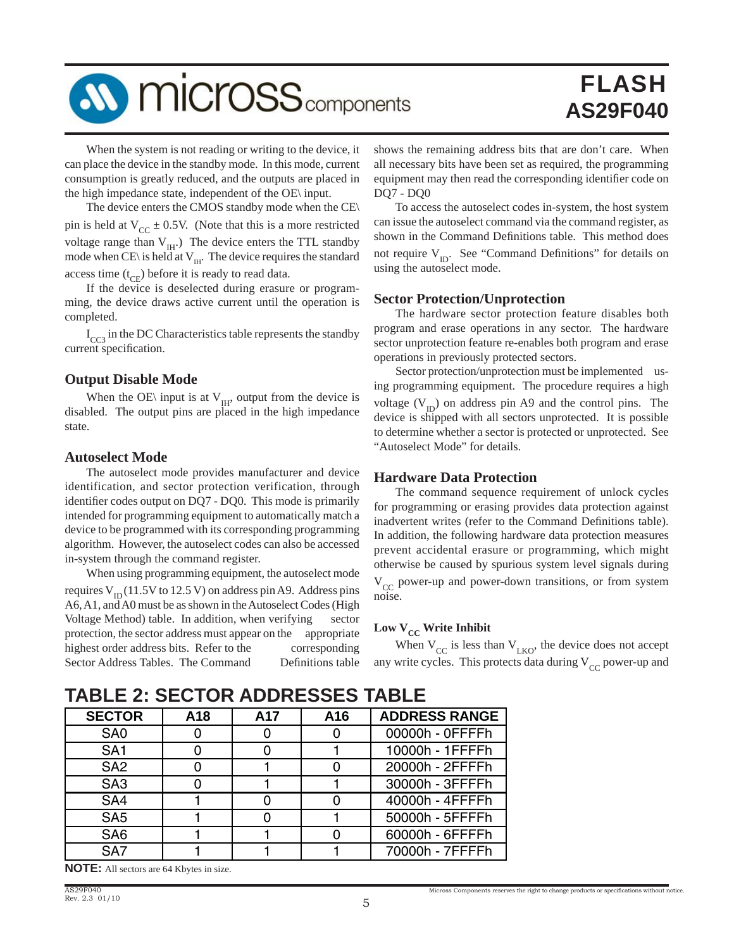

 When the system is not reading or writing to the device, it can place the device in the standby mode. In this mode, current consumption is greatly reduced, and the outputs are placed in the high impedance state, independent of the OE\ input.

 The device enters the CMOS standby mode when the CE\ pin is held at  $V_{CC} \pm 0.5V$ . (Note that this is a more restricted voltage range than  $V_{\text{H}}$ .) The device enters the TTL standby mode when CE\ is held at  $V_{\text{III}}$ . The device requires the standard access time  $(t_{CF})$  before it is ready to read data.

 If the device is deselected during erasure or programming, the device draws active current until the operation is completed.

 $I_{CC3}$  in the DC Characteristics table represents the standby current specification.

### **Output Disable Mode**

When the OE\ input is at  $V_{IH}$ , output from the device is disabled. The output pins are placed in the high impedance state.

### **Autoselect Mode**

 The autoselect mode provides manufacturer and device identification, and sector protection verification, through identifier codes output on DQ7 - DQ0. This mode is primarily intended for programming equipment to automatically match a device to be programmed with its corresponding programming algorithm. However, the autoselect codes can also be accessed in-system through the command register.

 When using programming equipment, the autoselect mode requires  $V_{\text{ID}}$  (11.5V to 12.5 V) on address pin A9. Address pins A6, A1, and A0 must be as shown in the Autoselect Codes (High Voltage Method) table. In addition, when verifying sector protection, the sector address must appear on the appropriate highest order address bits. Refer to the corresponding Sector Address Tables. The Command Definitions table shows the remaining address bits that are don't care. When all necessary bits have been set as required, the programming equipment may then read the corresponding identifier code on DQ7 - DQ0

 To access the autoselect codes in-system, the host system can issue the autoselect command via the command register, as shown in the Command Definitions table. This method does not require  $V_{ID}$ . See "Command Definitions" for details on using the autoselect mode.

### **Sector Protection/Unprotection**

 The hardware sector protection feature disables both program and erase operations in any sector. The hardware sector unprotection feature re-enables both program and erase operations in previously protected sectors.

 Sector protection/unprotection must be implemented using programming equipment. The procedure requires a high voltage  $(V_{ID})$  on address pin A9 and the control pins. The device is shipped with all sectors unprotected. It is possible to determine whether a sector is protected or unprotected. See "Autoselect Mode" for details.

### **Hardware Data Protection**

 The command sequence requirement of unlock cycles for programming or erasing provides data protection against inadvertent writes (refer to the Command Definitions table). In addition, the following hardware data protection measures prevent accidental erasure or programming, which might otherwise be caused by spurious system level signals during  $V_{CC}$  power-up and power-down transitions, or from system noise.

## Low  $V_{CC}$  Write Inhibit

When  $V_{CC}$  is less than  $V_{LKO}$ , the device does not accept any write cycles. This protects data during  $V_{CC}$  power-up and

# **TABLE 2: SECTOR ADDRESSES TABLE**

| <b>SECTOR</b>   | A18 | A <sub>17</sub> | A16 | <b>ADDRESS RANGE</b> |
|-----------------|-----|-----------------|-----|----------------------|
| SA <sub>0</sub> |     |                 |     | 00000h - 0FFFFh      |
| SA <sub>1</sub> |     |                 |     | 10000h - 1FFFFh      |
| SA <sub>2</sub> |     |                 |     | 20000h - 2FFFFh      |
| SA <sub>3</sub> |     |                 |     | 30000h - 3FFFFh      |
| SA4             |     |                 |     | 40000h - 4FFFFh      |
| SA <sub>5</sub> |     |                 |     | 50000h - 5FFFFh      |
| SA <sub>6</sub> |     |                 |     | 60000h - 6FFFFh      |
| SA7             |     |                 |     | 70000h - 7FFFFh      |

**NOTE:** All sectors are 64 Kbytes in size.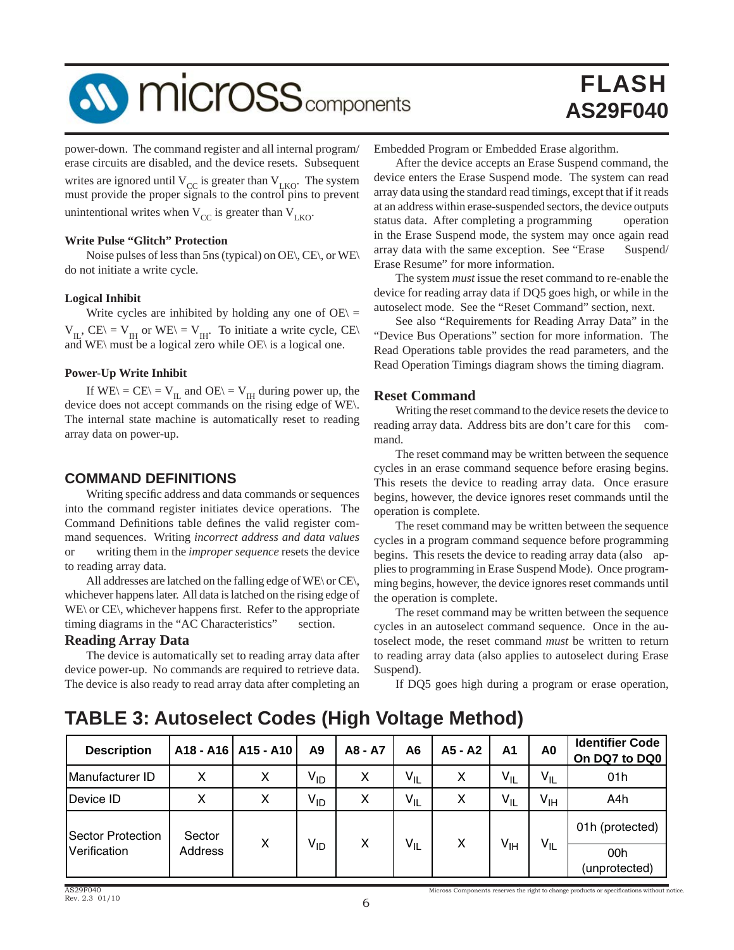# **SV MICrOSS** components

# FLASH **AS29F040**

power-down. The command register and all internal program/ erase circuits are disabled, and the device resets. Subsequent writes are ignored until  $V_{CC}$  is greater than  $V_{LKO}$ . The system must provide the proper signals to the control pins to prevent unintentional writes when  $V_{CC}$  is greater than  $V_{LKO}$ .

### **Write Pulse "Glitch" Protection**

 Noise pulses of less than 5ns (typical) on OE\, CE\, or WE\ do not initiate a write cycle.

### **Logical Inhibit**

Write cycles are inhibited by holding any one of  $OE \subseteq$  $V_{IL}$ , CE\ =  $V_{IH}$  or WE\ =  $V_{IH}$ . To initiate a write cycle, CE\ and WE\ must be a logical zero while OE\ is a logical one.

### **Power-Up Write Inhibit**

If  $WE \setminus = CE \setminus = V_{IL}$  and  $OE \setminus = V_{IH}$  during power up, the device does not accept commands on the rising edge of WE\. The internal state machine is automatically reset to reading array data on power-up.

### **COMMAND DEFINITIONS**

Writing specific address and data commands or sequences into the command register initiates device operations. The Command Definitions table defines the valid register command sequences. Writing *incorrect address and data values* or writing them in the *improper sequence* resets the device to reading array data.

 All addresses are latched on the falling edge of WE\ or CE\, whichever happens later. All data is latched on the rising edge of  $WE\$  or  $CE\$ , whichever happens first. Refer to the appropriate timing diagrams in the "AC Characteristics" section.

### **Reading Array Data**

 The device is automatically set to reading array data after device power-up. No commands are required to retrieve data. The device is also ready to read array data after completing an Embedded Program or Embedded Erase algorithm.

 After the device accepts an Erase Suspend command, the device enters the Erase Suspend mode. The system can read array data using the standard read timings, except that if it reads at an address within erase-suspended sectors, the device outputs status data. After completing a programming operation in the Erase Suspend mode, the system may once again read array data with the same exception. See "Erase Suspend/ Erase Resume" for more information.

 The system *must* issue the reset command to re-enable the device for reading array data if DQ5 goes high, or while in the autoselect mode. See the "Reset Command" section, next.

 See also "Requirements for Reading Array Data" in the "Device Bus Operations" section for more information. The Read Operations table provides the read parameters, and the Read Operation Timings diagram shows the timing diagram.

### **Reset Command**

 Writing the reset command to the device resets the device to reading array data. Address bits are don't care for this command.

 The reset command may be written between the sequence cycles in an erase command sequence before erasing begins. This resets the device to reading array data. Once erasure begins, however, the device ignores reset commands until the operation is complete.

 The reset command may be written between the sequence cycles in a program command sequence before programming begins. This resets the device to reading array data (also applies to programming in Erase Suspend Mode). Once programming begins, however, the device ignores reset commands until the operation is complete.

 The reset command may be written between the sequence cycles in an autoselect command sequence. Once in the autoselect mode, the reset command *must* be written to return to reading array data (also applies to autoselect during Erase Suspend).

If DQ5 goes high during a program or erase operation,

# **TABLE 3: Autoselect Codes (High Voltage Method)**

| <b>Description</b>                       |                   | A18 - A16   A15 - A10 | A9       | A8 - A7 | A6       | A5 - A2 | A <sub>1</sub> | A0              | <b>Identifier Code</b><br>On DQ7 to DQ0 |                 |
|------------------------------------------|-------------------|-----------------------|----------|---------|----------|---------|----------------|-----------------|-----------------------------------------|-----------------|
| Manufacturer ID                          | X                 | x                     | $V_{ID}$ | x       | $V_{IL}$ | x       | $V_{IL}$       | $V_{IL}$        | 01h                                     |                 |
| Device ID                                | X                 | X                     | $V_{ID}$ | x       | $V_{IL}$ | X       | $V_{IL}$       | $V_{\text{IH}}$ | A4h                                     |                 |
| <b>Sector Protection</b><br>Verification | Sector<br>Address |                       |          |         |          |         | X              |                 |                                         | 01h (protected) |
|                                          |                   | x                     | $V_{ID}$ | x       | $V_{IL}$ |         | $V_{IH}$       | $V_{IL}$        | 00h<br>(unprotected)                    |                 |

Micross Components reserves the right to change products or specifications without notice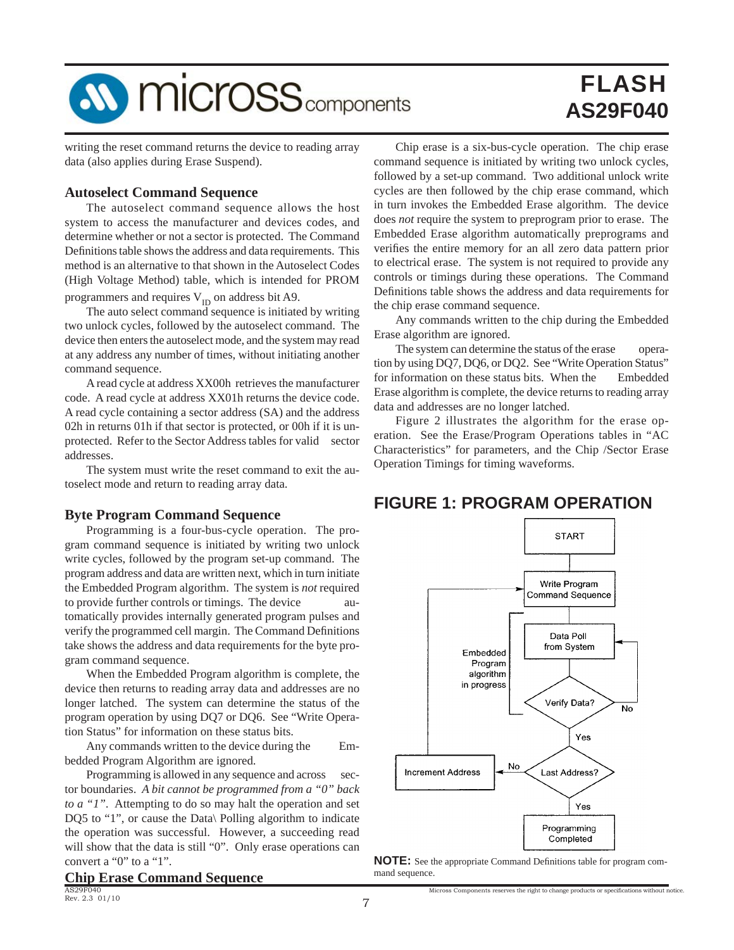

writing the reset command returns the device to reading array data (also applies during Erase Suspend).

### **Autoselect Command Sequence**

 The autoselect command sequence allows the host system to access the manufacturer and devices codes, and determine whether or not a sector is protected. The Command Definitions table shows the address and data requirements. This method is an alternative to that shown in the Autoselect Codes (High Voltage Method) table, which is intended for PROM

programmers and requires  $V_{ID}$  on address bit A9.

 The auto select command sequence is initiated by writing two unlock cycles, followed by the autoselect command. The device then enters the autoselect mode, and the system may read at any address any number of times, without initiating another command sequence.

 A read cycle at address XX00h retrieves the manufacturer code. A read cycle at address XX01h returns the device code. A read cycle containing a sector address (SA) and the address 02h in returns 01h if that sector is protected, or 00h if it is unprotected. Refer to the Sector Address tables for valid sector addresses.

 The system must write the reset command to exit the autoselect mode and return to reading array data.

### **Byte Program Command Sequence**

 Programming is a four-bus-cycle operation. The program command sequence is initiated by writing two unlock write cycles, followed by the program set-up command. The program address and data are written next, which in turn initiate the Embedded Program algorithm. The system is *not* required to provide further controls or timings. The device automatically provides internally generated program pulses and verify the programmed cell margin. The Command Definitions take shows the address and data requirements for the byte program command sequence.

 When the Embedded Program algorithm is complete, the device then returns to reading array data and addresses are no longer latched. The system can determine the status of the program operation by using DQ7 or DQ6. See "Write Operation Status" for information on these status bits.

 Any commands written to the device during the Embedded Program Algorithm are ignored.

Programming is allowed in any sequence and across sector boundaries. *A bit cannot be programmed from a "0" back to a "1".* Attempting to do so may halt the operation and set DQ5 to "1", or cause the Data\ Polling algorithm to indicate the operation was successful. However, a succeeding read will show that the data is still "0". Only erase operations can convert a "0" to a "1".

**Chip Erase Command Sequence**

 Chip erase is a six-bus-cycle operation. The chip erase command sequence is initiated by writing two unlock cycles, followed by a set-up command. Two additional unlock write cycles are then followed by the chip erase command, which in turn invokes the Embedded Erase algorithm. The device does *not* require the system to preprogram prior to erase. The Embedded Erase algorithm automatically preprograms and verifies the entire memory for an all zero data pattern prior to electrical erase. The system is not required to provide any controls or timings during these operations. The Command Definitions table shows the address and data requirements for the chip erase command sequence.

 Any commands written to the chip during the Embedded Erase algorithm are ignored.

The system can determine the status of the erase operation by using DQ7, DQ6, or DQ2. See "Write Operation Status" for information on these status bits. When the Embedded Erase algorithm is complete, the device returns to reading array data and addresses are no longer latched.

 Figure 2 illustrates the algorithm for the erase operation. See the Erase/Program Operations tables in "AC Characteristics" for parameters, and the Chip /Sector Erase Operation Timings for timing waveforms.

# **FIGURE 1: PROGRAM OPERATION**



**NOTE:** See the appropriate Command Definitions table for program command sequence.

Micross Components reserves the right to change products or specifications without notice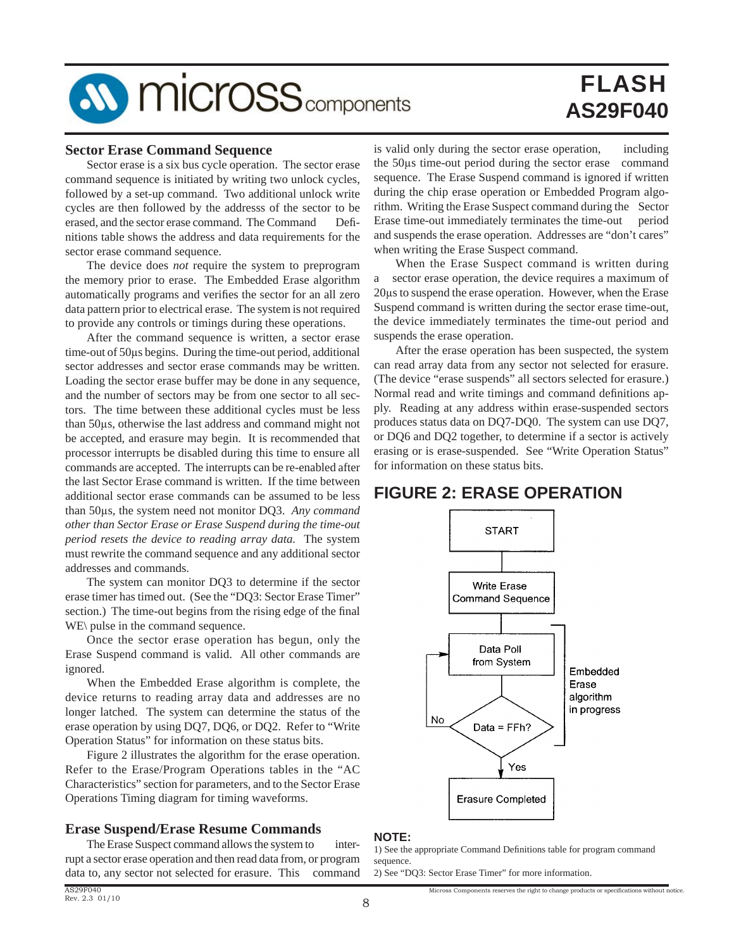

### **Sector Erase Command Sequence**

 Sector erase is a six bus cycle operation. The sector erase command sequence is initiated by writing two unlock cycles, followed by a set-up command. Two additional unlock write cycles are then followed by the addresss of the sector to be erased, and the sector erase command. The Command Definitions table shows the address and data requirements for the sector erase command sequence.

 The device does *not* require the system to preprogram the memory prior to erase. The Embedded Erase algorithm automatically programs and verifies the sector for an all zero data pattern prior to electrical erase. The system is not required to provide any controls or timings during these operations.

 After the command sequence is written, a sector erase time-out of 50μs begins. During the time-out period, additional sector addresses and sector erase commands may be written. Loading the sector erase buffer may be done in any sequence, and the number of sectors may be from one sector to all sectors. The time between these additional cycles must be less than 50μs, otherwise the last address and command might not be accepted, and erasure may begin. It is recommended that processor interrupts be disabled during this time to ensure all commands are accepted. The interrupts can be re-enabled after the last Sector Erase command is written. If the time between additional sector erase commands can be assumed to be less than 50μs, the system need not monitor DQ3. *Any command other than Sector Erase or Erase Suspend during the time-out period resets the device to reading array data.* The system must rewrite the command sequence and any additional sector addresses and commands.

 The system can monitor DQ3 to determine if the sector erase timer has timed out. (See the "DQ3: Sector Erase Timer" section.) The time-out begins from the rising edge of the final WE\ pulse in the command sequence.

 Once the sector erase operation has begun, only the Erase Suspend command is valid. All other commands are ignored.

 When the Embedded Erase algorithm is complete, the device returns to reading array data and addresses are no longer latched. The system can determine the status of the erase operation by using DQ7, DQ6, or DQ2. Refer to "Write Operation Status" for information on these status bits.

 Figure 2 illustrates the algorithm for the erase operation. Refer to the Erase/Program Operations tables in the "AC Characteristics" section for parameters, and to the Sector Erase Operations Timing diagram for timing waveforms.

### **Erase Suspend/Erase Resume Commands**

The Erase Suspect command allows the system to interrupt a sector erase operation and then read data from, or program data to, any sector not selected for erasure. This command

is valid only during the sector erase operation, including the 50μs time-out period during the sector erase command sequence. The Erase Suspend command is ignored if written during the chip erase operation or Embedded Program algorithm. Writing the Erase Suspect command during the Sector Erase time-out immediately terminates the time-out period and suspends the erase operation. Addresses are "don't cares" when writing the Erase Suspect command.

 When the Erase Suspect command is written during a sector erase operation, the device requires a maximum of 20μs to suspend the erase operation. However, when the Erase Suspend command is written during the sector erase time-out, the device immediately terminates the time-out period and suspends the erase operation.

 After the erase operation has been suspected, the system can read array data from any sector not selected for erasure. (The device "erase suspends" all sectors selected for erasure.) Normal read and write timings and command definitions apply. Reading at any address within erase-suspended sectors produces status data on DQ7-DQ0. The system can use DQ7, or DQ6 and DQ2 together, to determine if a sector is actively erasing or is erase-suspended. See "Write Operation Status" for information on these status bits.

# **FIGURE 2: ERASE OPERATION**



### **NOTE:**

1) See the appropriate Command Definitions table for program command sequence

Micross Components reserves the right to change products or specifications without notice

2) See "DQ3: Sector Erase Timer" for more information.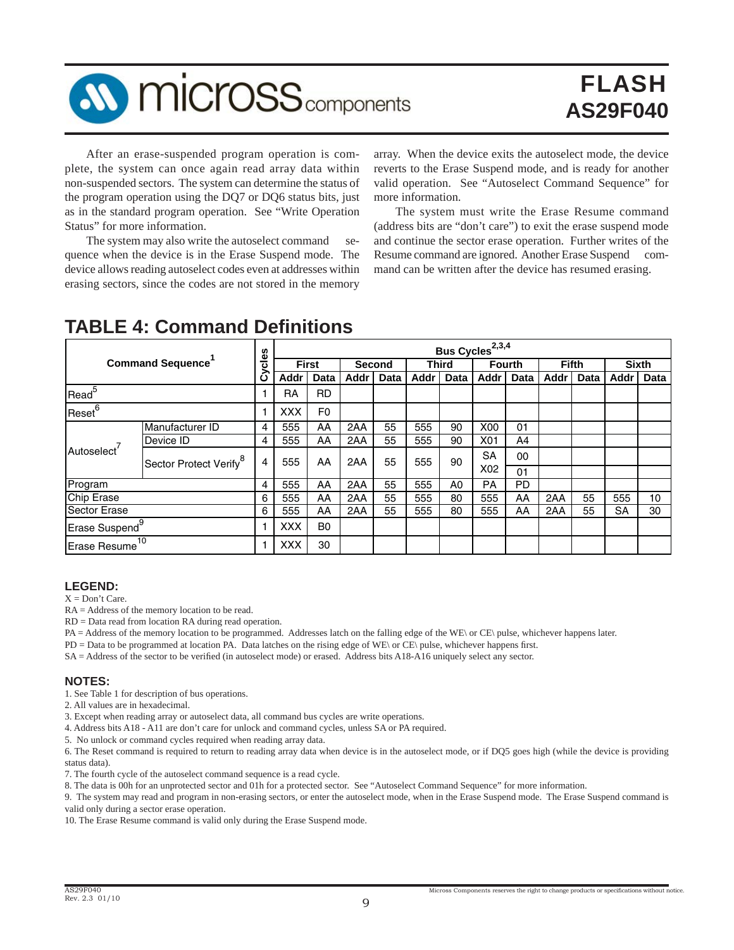

 After an erase-suspended program operation is complete, the system can once again read array data within non-suspended sectors. The system can determine the status of the program operation using the DQ7 or DQ6 status bits, just as in the standard program operation. See "Write Operation Status" for more information.

The system may also write the autoselect command sequence when the device is in the Erase Suspend mode. The device allows reading autoselect codes even at addresses within erasing sectors, since the codes are not stored in the memory

array. When the device exits the autoselect mode, the device reverts to the Erase Suspend mode, and is ready for another valid operation. See "Autoselect Command Sequence" for more information.

 The system must write the Erase Resume command (address bits are "don't care") to exit the erase suspend mode and continue the sector erase operation. Further writes of the Resume command are ignored. Another Erase Suspend command can be written after the device has resumed erasing.

|                            |                                    | <u>es</u> |            |                |             |        |      |              | Bus Cycles <sup>2,3,4</sup> |               |      |              |           |              |
|----------------------------|------------------------------------|-----------|------------|----------------|-------------|--------|------|--------------|-----------------------------|---------------|------|--------------|-----------|--------------|
|                            | <b>Command Sequence</b>            | ω         |            | <b>First</b>   |             | Second |      | <b>Third</b> |                             | <b>Fourth</b> |      | <b>Fifth</b> |           | <b>Sixth</b> |
|                            |                                    | ပ         | Addr       | Data           | <b>Addr</b> | Data   | Addr | Data         | Addr                        | Data          | Addr | Data         | Addr      | Data         |
| Read <sup>5</sup>          |                                    |           | RA         | <b>RD</b>      |             |        |      |              |                             |               |      |              |           |              |
| Reset <sup>6</sup>         |                                    |           | <b>XXX</b> | F <sub>0</sub> |             |        |      |              |                             |               |      |              |           |              |
|                            | Manufacturer ID                    | 4         | 555        | AA             | 2AA         | 55     | 555  | 90           | <b>X00</b>                  | 01            |      |              |           |              |
|                            | Device ID                          | 4         | 555        | AA             | 2AA         | 55     | 555  | 90           | X01                         | A4            |      |              |           |              |
| Autoselect <sup>7</sup>    | Sector Protect Verify <sup>8</sup> | 4         | 555        | AA             | 2AA         | 55     | 555  | 90           | <b>SA</b>                   | 00            |      |              |           |              |
|                            |                                    |           |            |                |             |        |      |              | X <sub>02</sub>             | 01            |      |              |           |              |
| Program                    |                                    | 4         | 555        | AA             | 2AA         | 55     | 555  | A0           | <b>PA</b>                   | PD            |      |              |           |              |
| <b>Chip Erase</b>          |                                    | 6         | 555        | AA             | 2AA         | 55     | 555  | 80           | 555                         | AA            | 2AA  | 55           | 555       | 10           |
| <b>Sector Erase</b>        |                                    | 6         | 555        | AA             | 2AA         | 55     | 555  | 80           | 555                         | AA            | 2AA  | 55           | <b>SA</b> | 30           |
| Erase Suspend <sup>9</sup> |                                    |           | <b>XXX</b> | B <sub>0</sub> |             |        |      |              |                             |               |      |              |           |              |
| Erase Resume <sup>10</sup> |                                    |           | <b>XXX</b> | 30             |             |        |      |              |                             |               |      |              |           |              |

# **TABLE 4: Command Defi nitions**

### **LEGEND:**

 $X = Don't Care$ .

RA = Address of the memory location to be read.

RD = Data read from location RA during read operation.

PA = Address of the memory location to be programmed. Addresses latch on the falling edge of the WE\ or CE\ pulse, whichever happens later.

PD = Data to be programmed at location PA. Data latches on the rising edge of WE\ or CE\ pulse, whichever happens first.

SA = Address of the sector to be verified (in autoselect mode) or erased. Address bits A18-A16 uniquely select any sector.

### **NOTES:**

1. See Table 1 for description of bus operations.

2. All values are in hexadecimal.

3. Except when reading array or autoselect data, all command bus cycles are write operations.

4. Address bits A18 - A11 are don't care for unlock and command cycles, unless SA or PA required.

5. No unlock or command cycles required when reading array data.

6. The Reset command is required to return to reading array data when device is in the autoselect mode, or if DQ5 goes high (while the device is providing status data).

7. The fourth cycle of the autoselect command sequence is a read cycle.

8. The data is 00h for an unprotected sector and 01h for a protected sector. See "Autoselect Command Sequence" for more information.

9. The system may read and program in non-erasing sectors, or enter the autoselect mode, when in the Erase Suspend mode. The Erase Suspend command is valid only during a sector erase operation.

10. The Erase Resume command is valid only during the Erase Suspend mode.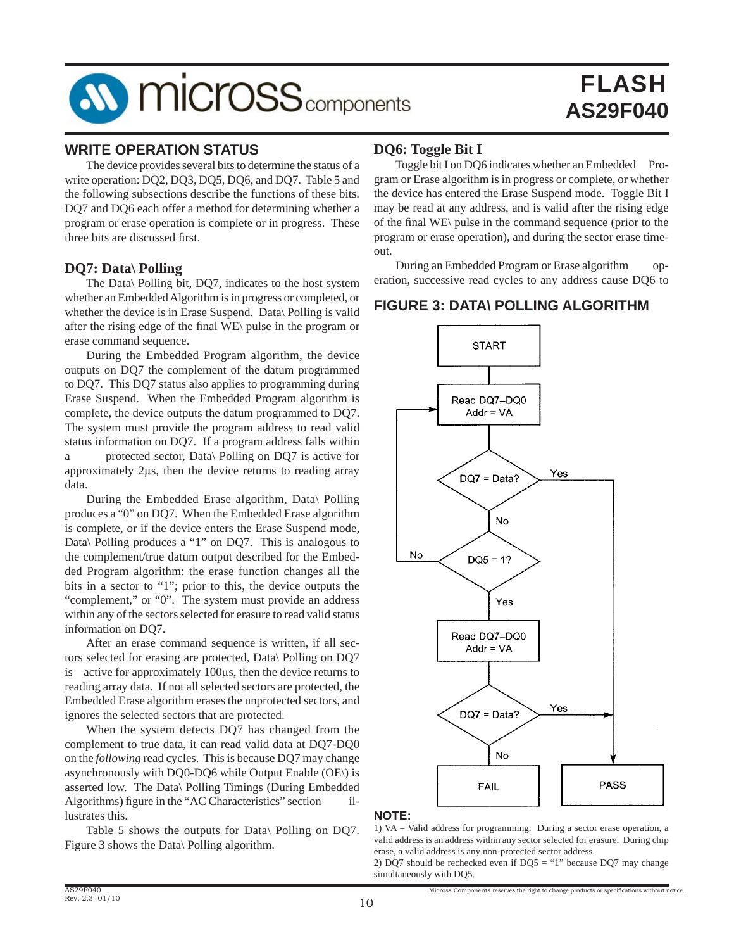# **AV MICrOSS** components

# FLASH **AS29F040**

# **WRITE OPERATION STATUS**

 The device provides several bits to determine the status of a write operation: DQ2, DQ3, DQ5, DQ6, and DQ7. Table 5 and the following subsections describe the functions of these bits. DQ7 and DQ6 each offer a method for determining whether a program or erase operation is complete or in progress. These three bits are discussed first.

## **DQ7: Data\ Polling**

 The Data\ Polling bit, DQ7, indicates to the host system whether an Embedded Algorithm is in progress or completed, or whether the device is in Erase Suspend. Data\ Polling is valid after the rising edge of the final  $WE\$  pulse in the program or erase command sequence.

 During the Embedded Program algorithm, the device outputs on DQ7 the complement of the datum programmed to DQ7. This DQ7 status also applies to programming during Erase Suspend. When the Embedded Program algorithm is complete, the device outputs the datum programmed to DQ7. The system must provide the program address to read valid status information on DQ7. If a program address falls within a protected sector, Data\ Polling on DQ7 is active for approximately 2μs, then the device returns to reading array data.

 During the Embedded Erase algorithm, Data\ Polling produces a "0" on DQ7. When the Embedded Erase algorithm is complete, or if the device enters the Erase Suspend mode, Data\ Polling produces a "1" on DQ7. This is analogous to the complement/true datum output described for the Embedded Program algorithm: the erase function changes all the bits in a sector to "1"; prior to this, the device outputs the "complement," or "0". The system must provide an address within any of the sectors selected for erasure to read valid status information on DQ7.

 After an erase command sequence is written, if all sectors selected for erasing are protected, Data\ Polling on DQ7 is active for approximately 100μs, then the device returns to reading array data. If not all selected sectors are protected, the Embedded Erase algorithm erases the unprotected sectors, and ignores the selected sectors that are protected.

 When the system detects DQ7 has changed from the complement to true data, it can read valid data at DQ7-DQ0 on the *following* read cycles. This is because DQ7 may change asynchronously with DQ0-DQ6 while Output Enable (OE\) is asserted low. The Data\ Polling Timings (During Embedded Algorithms) figure in the "AC Characteristics" section lustrates this.

 Table 5 shows the outputs for Data\ Polling on DQ7. Figure 3 shows the Data\ Polling algorithm.

# **DQ6: Toggle Bit I**

Toggle bit I on DQ6 indicates whether an Embedded Program or Erase algorithm is in progress or complete, or whether the device has entered the Erase Suspend mode. Toggle Bit I may be read at any address, and is valid after the rising edge of the final WE\ pulse in the command sequence (prior to the program or erase operation), and during the sector erase timeout.

 During an Embedded Program or Erase algorithm operation, successive read cycles to any address cause DQ6 to

# **FIGURE 3: DATA\ POLLING ALGORITHM**



### **NOTE:**

1) VA = Valid address for programming. During a sector erase operation, a valid address is an address within any sector selected for erasure. During chip erase, a valid address is any non-protected sector address.

2) DQ7 should be rechecked even if  $DQ5 = "1"$  because DQ7 may change simultaneously with DQ5.

Micross Components reserves the right to change products or specifications without notice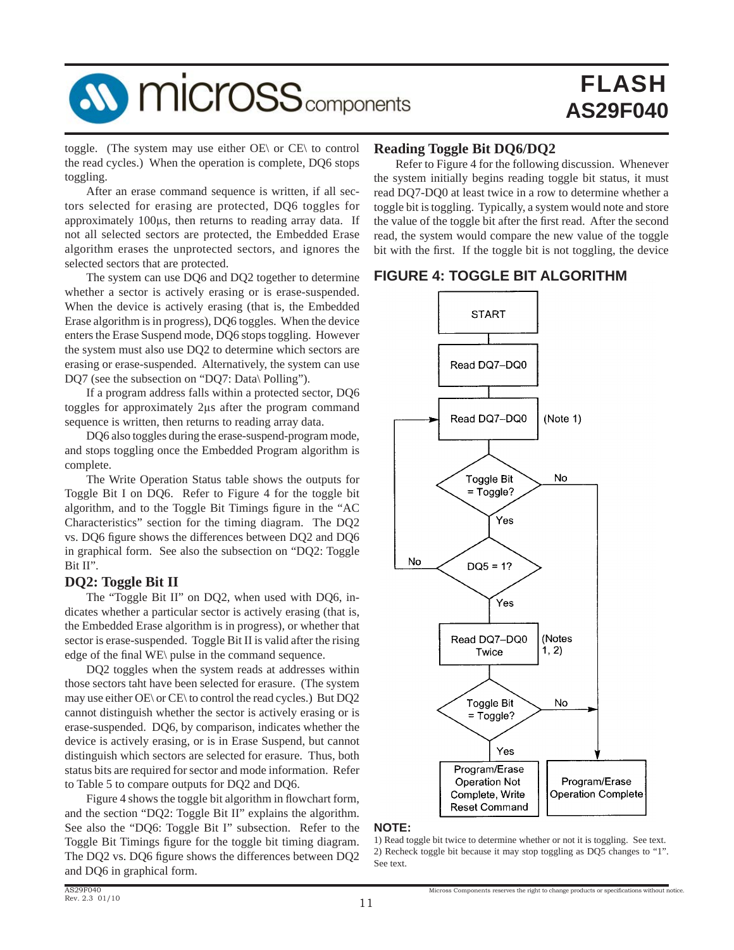

toggle. (The system may use either OE\ or CE\ to control the read cycles.) When the operation is complete, DQ6 stops toggling.

 After an erase command sequence is written, if all sectors selected for erasing are protected, DQ6 toggles for approximately 100μs, then returns to reading array data. If not all selected sectors are protected, the Embedded Erase algorithm erases the unprotected sectors, and ignores the selected sectors that are protected.

 The system can use DQ6 and DQ2 together to determine whether a sector is actively erasing or is erase-suspended. When the device is actively erasing (that is, the Embedded Erase algorithm is in progress), DQ6 toggles. When the device enters the Erase Suspend mode, DQ6 stops toggling. However the system must also use DQ2 to determine which sectors are erasing or erase-suspended. Alternatively, the system can use DQ7 (see the subsection on "DQ7: Data\ Polling").

 If a program address falls within a protected sector, DQ6 toggles for approximately 2μs after the program command sequence is written, then returns to reading array data.

 DQ6 also toggles during the erase-suspend-program mode, and stops toggling once the Embedded Program algorithm is complete.

 The Write Operation Status table shows the outputs for Toggle Bit I on DQ6. Refer to Figure 4 for the toggle bit algorithm, and to the Toggle Bit Timings figure in the "AC Characteristics" section for the timing diagram. The DQ2 vs. DQ6 figure shows the differences between DQ2 and DQ6 in graphical form. See also the subsection on "DQ2: Toggle Bit II".

### **DQ2: Toggle Bit II**

The "Toggle Bit II" on DO2, when used with DO6, indicates whether a particular sector is actively erasing (that is, the Embedded Erase algorithm is in progress), or whether that sector is erase-suspended. Toggle Bit II is valid after the rising edge of the final WE\ pulse in the command sequence.

 DQ2 toggles when the system reads at addresses within those sectors taht have been selected for erasure. (The system may use either OE\ or CE\ to control the read cycles.) But DQ2 cannot distinguish whether the sector is actively erasing or is erase-suspended. DQ6, by comparison, indicates whether the device is actively erasing, or is in Erase Suspend, but cannot distinguish which sectors are selected for erasure. Thus, both status bits are required for sector and mode information. Refer to Table 5 to compare outputs for DQ2 and DQ6.

Figure 4 shows the toggle bit algorithm in flowchart form, and the section "DQ2: Toggle Bit II" explains the algorithm. See also the "DQ6: Toggle Bit I" subsection. Refer to the Toggle Bit Timings figure for the toggle bit timing diagram. The DQ2 vs. DQ6 figure shows the differences between DQ2 and DQ6 in graphical form.

### **Reading Toggle Bit DQ6/DQ2**

 Refer to Figure 4 for the following discussion. Whenever the system initially begins reading toggle bit status, it must read DQ7-DQ0 at least twice in a row to determine whether a toggle bit is toggling. Typically, a system would note and store the value of the toggle bit after the first read. After the second read, the system would compare the new value of the toggle bit with the first. If the toggle bit is not toggling, the device

# **FIGURE 4: TOGGLE BIT ALGORITHM**



### **NOTE:**

<sup>1)</sup> Read toggle bit twice to determine whether or not it is toggling. See text. 2) Recheck toggle bit because it may stop toggling as DQ5 changes to "1". See text.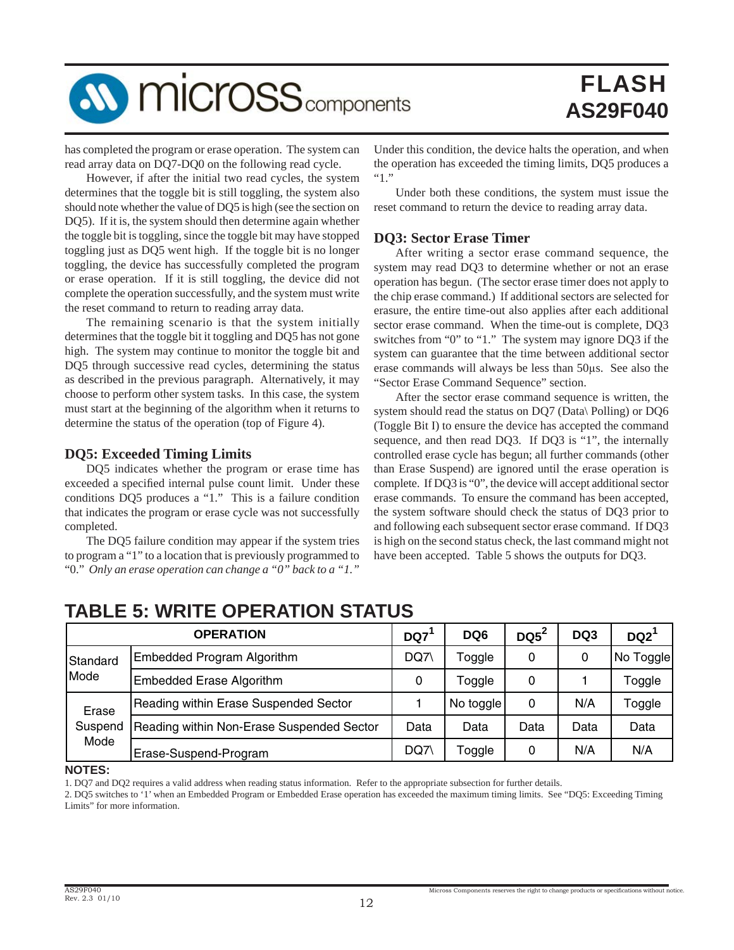

has completed the program or erase operation. The system can read array data on DQ7-DQ0 on the following read cycle.

 However, if after the initial two read cycles, the system determines that the toggle bit is still toggling, the system also should note whether the value of DQ5 is high (see the section on DQ5). If it is, the system should then determine again whether the toggle bit is toggling, since the toggle bit may have stopped toggling just as DQ5 went high. If the toggle bit is no longer toggling, the device has successfully completed the program or erase operation. If it is still toggling, the device did not complete the operation successfully, and the system must write the reset command to return to reading array data.

 The remaining scenario is that the system initially determines that the toggle bit it toggling and DQ5 has not gone high. The system may continue to monitor the toggle bit and DQ5 through successive read cycles, determining the status as described in the previous paragraph. Alternatively, it may choose to perform other system tasks. In this case, the system must start at the beginning of the algorithm when it returns to determine the status of the operation (top of Figure 4).

### **DQ5: Exceeded Timing Limits**

 DQ5 indicates whether the program or erase time has exceeded a specified internal pulse count limit. Under these conditions DQ5 produces a "1." This is a failure condition that indicates the program or erase cycle was not successfully completed.

 The DQ5 failure condition may appear if the system tries to program a "1" to a location that is previously programmed to "0." *Only an erase operation can change a "0" back to a "1."*

Under this condition, the device halts the operation, and when the operation has exceeded the timing limits, DQ5 produces a "1."

 Under both these conditions, the system must issue the reset command to return the device to reading array data.

### **DQ3: Sector Erase Timer**

 After writing a sector erase command sequence, the system may read DQ3 to determine whether or not an erase operation has begun. (The sector erase timer does not apply to the chip erase command.) If additional sectors are selected for erasure, the entire time-out also applies after each additional sector erase command. When the time-out is complete, DQ3 switches from "0" to "1." The system may ignore DQ3 if the system can guarantee that the time between additional sector erase commands will always be less than 50μs. See also the "Sector Erase Command Sequence" section.

 After the sector erase command sequence is written, the system should read the status on DQ7 (Data\ Polling) or DQ6 (Toggle Bit I) to ensure the device has accepted the command sequence, and then read DQ3. If DQ3 is "1", the internally controlled erase cycle has begun; all further commands (other than Erase Suspend) are ignored until the erase operation is complete. If DQ3 is "0", the device will accept additional sector erase commands. To ensure the command has been accepted, the system software should check the status of DQ3 prior to and following each subsequent sector erase command. If DQ3 is high on the second status check, the last command might not have been accepted. Table 5 shows the outputs for DQ3.

# **TABLE 5: WRITE OPERATION STATUS**

|          | <b>OPERATION</b>                          | DQ7  | DQ <sub>6</sub> | $DQ5^2$ | DQ3  | DQ2       |
|----------|-------------------------------------------|------|-----------------|---------|------|-----------|
| Standard | Embedded Program Algorithm                | DQ7\ | Toggle          | 0       | 0    | No Toggle |
| Mode     | Embedded Erase Algorithm                  | 0    | Toggle          | 0       |      | Toggle    |
| Erase    | Reading within Erase Suspended Sector     |      | No toggle       | 0       | N/A  | Toggle    |
| Suspend  | Reading within Non-Erase Suspended Sector | Data | Data            | Data    | Data | Data      |
| Mode     | Erase-Suspend-Program                     | DQ7\ | Toggle          | 0       | N/A  | N/A       |

**NOTES:**

1. DQ7 and DQ2 requires a valid address when reading status information. Refer to the appropriate subsection for further details.

2. DQ5 switches to '1' when an Embedded Program or Embedded Erase operation has exceeded the maximum timing limits. See "DQ5: Exceeding Timing Limits" for more information.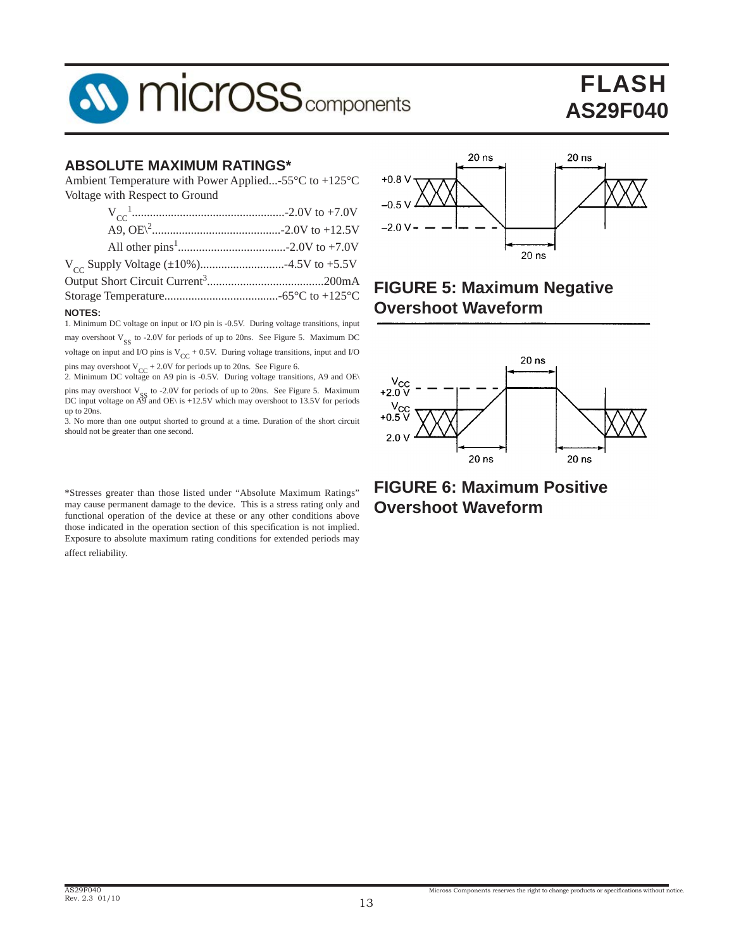

# **ABSOLUTE MAXIMUM RATINGS\***

Ambient Temperature with Power Applied...-55°C to +125°C Voltage with Respect to Ground

| <b>NOTES:</b> |  |
|---------------|--|

1. Minimum DC voltage on input or I/O pin is -0.5V. During voltage transitions, input may overshoot  $V_{SS}$  to -2.0V for periods of up to 20ns. See Figure 5. Maximum DC voltage on input and I/O pins is  $V_{CC}$  + 0.5V. During voltage transitions, input and I/O pins may overshoot  $V_{CC}$  + 2.0V for periods up to 20ns. See Figure 6.<br>2. Minimum DC voltage on A9 pin is -0.5V. During voltage transitions, A9 and OE\

pins may overshoot  $V_{SS}$  to -2.0V for periods of up to 20ns. See Figure 5. Maximum DC input voltage on A9 and OE\ is +12.5V which may overshoot to 13.5V for periods up to 20ns.

3. No more than one output shorted to ground at a time. Duration of the short circuit should not be greater than one second.

\*Stresses greater than those listed under "Absolute Maximum Ratings" may cause permanent damage to the device. This is a stress rating only and functional operation of the device at these or any other conditions above those indicated in the operation section of this specification is not implied. Exposure to absolute maximum rating conditions for extended periods may affect reliability.



# **FIGURE 5: Maximum Negative Overshoot Waveform**



# **FIGURE 6: Maximum Positive Overshoot Waveform**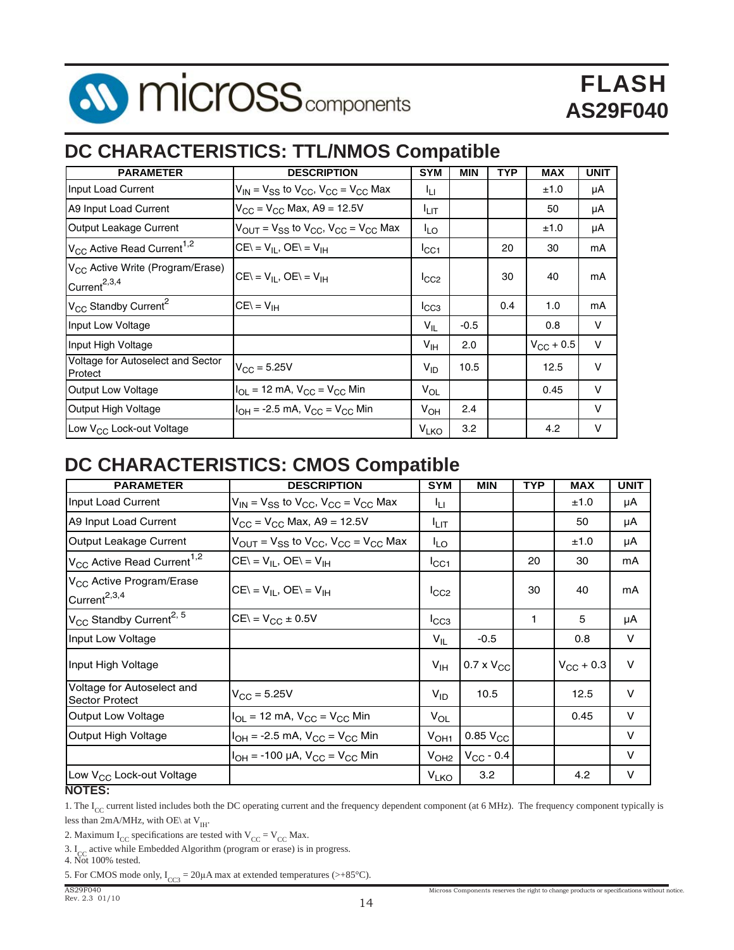

# **DC CHARACTERISTICS: TTL/NMOS Compatible**

| <b>PARAMETER</b>                                                         | <b>DESCRIPTION</b>                                                                 | <b>SYM</b>             | <b>MIN</b> | <b>TYP</b> | <b>MAX</b>         | <b>UNIT</b> |
|--------------------------------------------------------------------------|------------------------------------------------------------------------------------|------------------------|------------|------------|--------------------|-------------|
| Input Load Current                                                       | $V_{IN}$ = $V_{SS}$ to $V_{CC}$ , $V_{CC}$ = $V_{CC}$ Max                          | łц                     |            |            | ±1.0               | μA          |
| A9 Input Load Current                                                    | $V_{CC} = V_{CC}$ Max, A9 = 12.5V                                                  | <sup>I</sup> LIT       |            |            | 50                 | μA          |
| Output Leakage Current                                                   | $V_{\text{OUT}} = V_{SS}$ to $V_{\text{CC}}$ , $V_{\text{CC}} = V_{\text{CC}}$ Max | I <sub>LO</sub>        |            |            | ±1.0               | μA          |
| $V_{CC}$ Active Read Current <sup>1,2</sup>                              | $CE = V_{II}$ , $OE = V_{IH}$                                                      | ICC1                   |            | 20         | 30                 | mA          |
| V <sub>CC</sub> Active Write (Program/Erase)<br>Current <sup>2,3,4</sup> | $CE = V_{IL}$ , $OE = V_{IH}$                                                      | ICC2                   |            | 30         | 40                 | mA          |
| V <sub>CC</sub> Standby Current <sup>2</sup>                             | $CE = V_{IH}$                                                                      | ICC3                   |            | 0.4        | 1.0                | mA          |
| Input Low Voltage                                                        |                                                                                    | $V_{IL}$               | $-0.5$     |            | 0.8                | v           |
| Input High Voltage                                                       |                                                                                    | $V_{\text{IH}}$        | 2.0        |            | $V_{\rm CC}$ + 0.5 | $\vee$      |
| Voltage for Autoselect and Sector<br>Protect                             | $V_{\rm CC} = 5.25V$                                                               | $V_{ID}$               | 10.5       |            | 12.5               | $\vee$      |
| <b>Output Low Voltage</b>                                                | $I_{OL}$ = 12 mA, $V_{CC}$ = $V_{CC}$ Min                                          | $V_{OL}$               |            |            | 0.45               | v           |
| Output High Voltage                                                      | $IOH = -2.5$ mA, $VCC = VCC$ Min                                                   | $V_{OH}$               | 2.4        |            |                    | $\vee$      |
| Low V <sub>CC</sub> Lock-out Voltage                                     |                                                                                    | <b>V<sub>LKO</sub></b> | 3.2        |            | 4.2                | v           |

# **DC CHARACTERISTICS: CMOS Compatible**

| <b>PARAMETER</b>                                                 | <b>DESCRIPTION</b>                                                                 | <b>SYM</b>             | <b>MIN</b>          | <b>TYP</b> | <b>MAX</b>         | <b>UNIT</b> |
|------------------------------------------------------------------|------------------------------------------------------------------------------------|------------------------|---------------------|------------|--------------------|-------------|
| Input Load Current                                               | $V_{IN}$ = $V_{SS}$ to $V_{CC}$ , $V_{CC}$ = $V_{CC}$ Max                          | ŀц                     |                     |            | ±1.0               | μA          |
| A9 Input Load Current                                            | $V_{CC} = V_{CC}$ Max, A9 = 12.5V                                                  | <sup>I</sup> LIT       |                     |            | 50                 | μA          |
| Output Leakage Current                                           | $V_{\text{OUT}} = V_{SS}$ to $V_{\text{CC}}$ , $V_{\text{CC}} = V_{\text{CC}}$ Max | $I_{LO}$               |                     |            | ±1.0               | μA          |
| $V_{CC}$ Active Read Current <sup>1,2</sup>                      | $CE\backslash = V_{IL}$ , $OE\backslash = V_{IH}$                                  | ICC1                   |                     | 20         | 30                 | mA          |
| V <sub>CC</sub> Active Program/Erase<br>Current <sup>2,3,4</sup> | $CE = V_{II}$ , $OE = V_{IH}$                                                      | $I_{CC2}$              |                     | 30         | 40                 | mA          |
| $V_{\text{CC}}$ Standby Current <sup>2, 5</sup>                  | $CE = V_{CC} \pm 0.5V$                                                             | $I_{\rm CG3}$          |                     | 1          | 5                  | μA          |
| Input Low Voltage                                                |                                                                                    | $V_{IL}$               | $-0.5$              |            | 0.8                | V           |
| Input High Voltage                                               |                                                                                    | V <sub>IH</sub>        | $0.7 \times V_{CC}$ |            | $V_{\rm CC}$ + 0.3 | $\vee$      |
| Voltage for Autoselect and<br><b>Sector Protect</b>              | $V_{\rm CC} = 5.25V$                                                               | $V_{ID}$               | 10.5                |            | 12.5               | $\vee$      |
| <b>Output Low Voltage</b>                                        | $I_{OL}$ = 12 mA, $V_{CC}$ = $V_{CC}$ Min                                          | $V_{OL}$               |                     |            | 0.45               | V           |
| Output High Voltage                                              | $I_{OH} = -2.5$ mA, $V_{CC} = V_{CC}$ Min                                          | V <sub>OH1</sub>       | $0.85$ $V_{CC}$     |            |                    | $\vee$      |
|                                                                  | $I_{OH}$ = -100 µA, $V_{CC}$ = $V_{CC}$ Min                                        | V <sub>OH2</sub>       | $V_{CC}$ - 0.4      |            |                    | V           |
| Low V <sub>CC</sub> Lock-out Voltage<br>$\overline{\phantom{a}}$ |                                                                                    | <b>V<sub>LKO</sub></b> | 3.2                 |            | 4.2                | V           |

### **NOTES:**

1. The  $I_{CC}$  current listed includes both the DC operating current and the frequency dependent component (at 6 MHz). The frequency component typically is less than 2mA/MHz, with OE\ at  $V_{\text{H}}$ .

2. Maximum  $I_{CC}$  specifications are tested with  $V_{CC} = V_{CC}$  Max.

3.  $I_{CC}$  active while Embedded Algorithm (program or erase) is in progress.

4. Not 100% tested.

5. For CMOS mode only,  $I_{CC3} = 20 \mu A$  max at extended temperatures (>+85°C).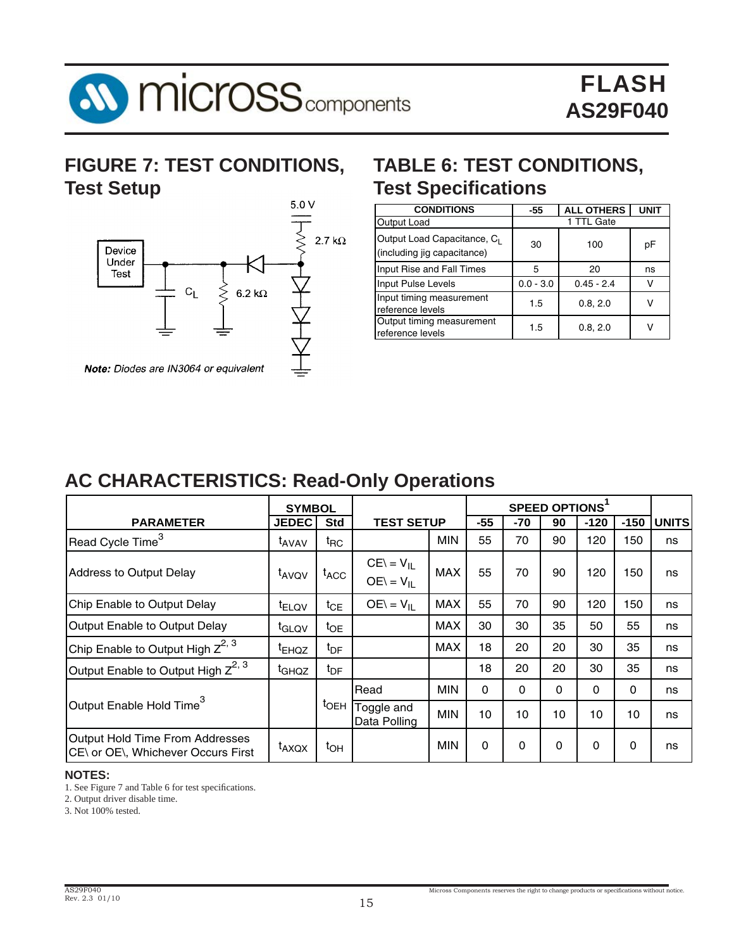

# **FIGURE 7: TEST CONDITIONS, Test Setup**



# **TABLE 6: TEST CONDITIONS, Test Specifications**

| <b>CONDITIONS</b>                                          | -55         | <b>ALL OTHERS</b> | <b>UNIT</b> |
|------------------------------------------------------------|-------------|-------------------|-------------|
| Output Load                                                |             | 1 TTL Gate        |             |
| Output Load Capacitance, CL<br>(including jig capacitance) | 30          | 100               | рF          |
| Input Rise and Fall Times                                  | 5           | 20                | ns          |
| Input Pulse Levels                                         | $0.0 - 3.0$ | $0.45 - 2.4$      |             |
| Input timing measurement<br>reference levels               | 1.5         | 0.8, 2.0          |             |
| Output timing measurement<br>reference levels              | 1.5         | 0.8, 2.0          |             |

# **AC CHARACTERISTICS: Read-Only Operations**

|                                                                       | <b>SYMBOL</b>     |                    | SPEED OPTIONS <sup>1</sup>            |            |             |             |          |          |          |              |
|-----------------------------------------------------------------------|-------------------|--------------------|---------------------------------------|------------|-------------|-------------|----------|----------|----------|--------------|
| <b>PARAMETER</b>                                                      | <b>JEDEC</b>      | <b>Std</b>         | <b>TEST SETUP</b>                     |            | -55         | -70         | 90       | $-120$   | $-150$   | <b>UNITS</b> |
| Read Cycle Time <sup>3</sup>                                          | t <sub>AVAV</sub> | $t_{\mathsf{RC}}$  |                                       | <b>MIN</b> | 55          | 70          | 90       | 120      | 150      | ns           |
| Address to Output Delay                                               | t <sub>AVQV</sub> | $t_{ACC}$          | $CE = V_{\parallel}$<br>$OE = V_{II}$ | <b>MAX</b> | 55          | 70          | 90       | 120      | 150      | ns           |
| Chip Enable to Output Delay                                           | t <sub>ELQV</sub> | $t_{CE}$           | $OE = V_{II}$                         | <b>MAX</b> | 55          | 70          | 90       | 120      | 150      | ns           |
| Output Enable to Output Delay                                         | t <sub>GLQV</sub> | $t_{OE}$           |                                       | <b>MAX</b> | 30          | 30          | 35       | 50       | 55       | ns           |
| Chip Enable to Output High $Z^{2, 3}$                                 | <sup>t</sup> EHQZ | $t_{\text{DF}}$    |                                       | <b>MAX</b> | 18          | 20          | 20       | 30       | 35       | ns           |
| Output Enable to Output High $Z^{2, 3}$                               | t <sub>GHQZ</sub> | $t_{\text{DF}}$    |                                       |            | 18          | 20          | 20       | 30       | 35       | ns           |
|                                                                       |                   |                    | Read                                  | <b>MIN</b> | $\Omega$    | $\Omega$    | $\Omega$ | $\Omega$ | $\Omega$ | ns           |
| Output Enable Hold Time <sup>3</sup>                                  |                   | $t$ <sub>OEH</sub> | Toggle and<br>Data Polling            | <b>MIN</b> | 10          | 10          | 10       | 10       | 10       | ns           |
| Output Hold Time From Addresses<br>CE\ or OE\, Whichever Occurs First | t <sub>AXQX</sub> | $t_{OH}$           |                                       | <b>MIN</b> | $\mathbf 0$ | $\mathbf 0$ | $\Omega$ | $\Omega$ | 0        | ns           |

### **NOTES:**

1. See Figure 7 and Table 6 for test specifications.

2. Output driver disable time.

3. Not 100% tested.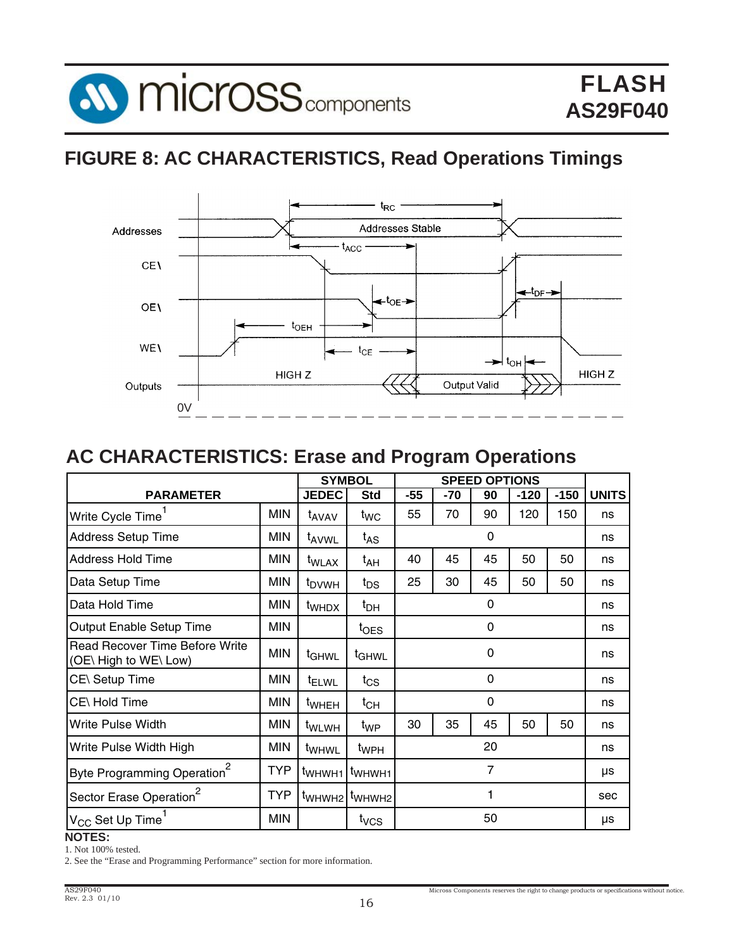

# **FIGURE 8: AC CHARACTERISTICS, Read Operations Timings**



# **AC CHARACTERISTICS: Erase and Program Operations**

|                                                                |            |                    | <b>SYMBOL</b>                         | <b>SPEED OPTIONS</b> |     |             |        |        |              |
|----------------------------------------------------------------|------------|--------------------|---------------------------------------|----------------------|-----|-------------|--------|--------|--------------|
| <b>PARAMETER</b>                                               |            | <b>JEDEC</b>       | <b>Std</b>                            | -55                  | -70 | 90          | $-120$ | $-150$ | <b>UNITS</b> |
| Write Cycle Time'                                              | <b>MIN</b> | t <sub>AVAV</sub>  | t <sub>WC</sub>                       | 55                   | 70  | 90          | 120    | 150    | ns           |
| <b>Address Setup Time</b>                                      | <b>MIN</b> | t <sub>AVWL</sub>  | $t_{AS}$                              |                      |     | $\mathbf 0$ |        |        | ns           |
| <b>Address Hold Time</b>                                       | <b>MIN</b> | t <sub>WLAX</sub>  | t <sub>AH</sub>                       | 40                   | 45  | 45          | 50     | 50     | ns           |
| Data Setup Time                                                | <b>MIN</b> | t <sub>DVWH</sub>  | $t_{DS}$                              | 25                   | 30  | 45          | 50     | 50     | ns           |
| Data Hold Time                                                 | <b>MIN</b> | t <sub>WHDX</sub>  | t <sub>DH</sub>                       |                      |     | 0           |        |        | ns           |
| Output Enable Setup Time                                       | <b>MIN</b> |                    | $t_{\text{OES}}$                      |                      |     | $\mathbf 0$ |        |        | ns           |
| <b>Read Recover Time Before Write</b><br>(OE\ High to WE\ Low) | <b>MIN</b> | t <sub>GHWL</sub>  | <sup>t</sup> GHWL                     | 0                    |     |             | ns     |        |              |
| CE\ Setup Time                                                 | MIN        | <sup>t</sup> ELWL  | $t_{\rm CS}$                          |                      | 0   |             |        | ns     |              |
| CE\ Hold Time                                                  | <b>MIN</b> | <sup>t</sup> WHEH  | $t_{CH}$                              |                      |     | 0           |        |        | ns           |
| Write Pulse Width                                              | <b>MIN</b> | t <sub>WLWH</sub>  | t <sub>WP</sub>                       | 30                   | 35  | 45          | 50     | 50     | ns           |
| Write Pulse Width High                                         | <b>MIN</b> | t <sub>WHWL</sub>  | t <sub>WPH</sub>                      | 20                   |     | ns          |        |        |              |
| Byte Programming Operation <sup>2</sup>                        | TYP        | t <sub>WHWH1</sub> | t <sub>WHWH1</sub>                    | $\overline{7}$       |     | μs          |        |        |              |
| Sector Erase Operation <sup>2</sup>                            | TYP        |                    | t <sub>WHWH2</sub> t <sub>WHWH2</sub> | 1                    |     | sec         |        |        |              |
| V <sub>CC</sub> Set Up Time <sup>1</sup>                       | <b>MIN</b> |                    | t <sub>vcs</sub>                      |                      |     | 50          |        |        | μs           |

**NOTES:**

1. Not 100% tested.

2. See the "Erase and Programming Performance" section for more information.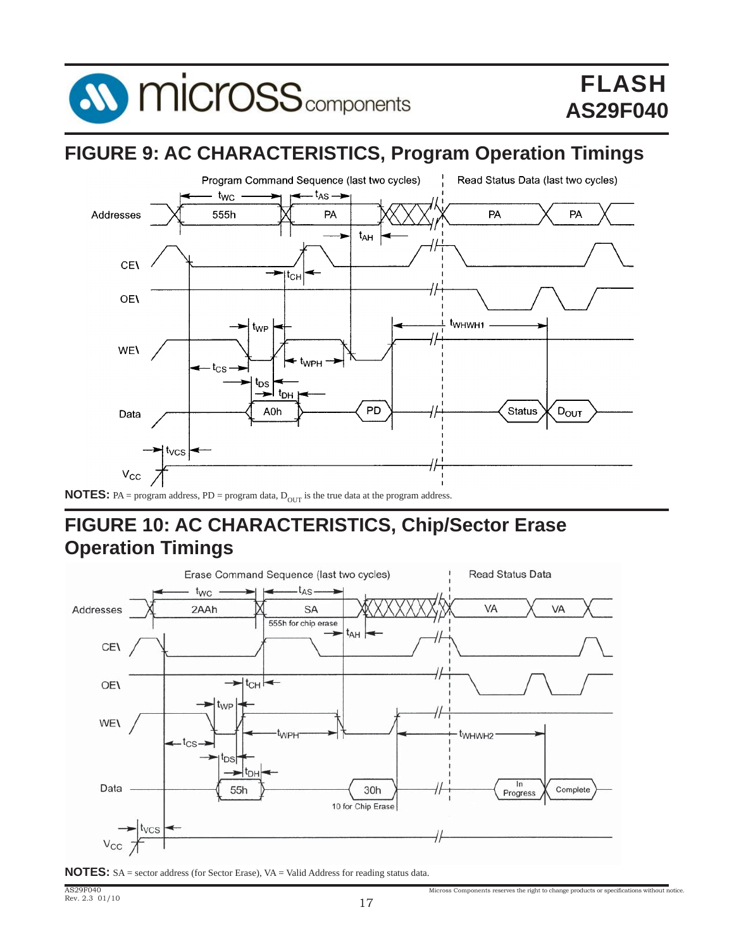

# **FIGURE 9: AC CHARACTERISTICS, Program Operation Timings**



# **NOTES:** PA = program address, PD = program data,  $D_{OUT}$  is the true data at the program address.

# **FIGURE 10: AC CHARACTERISTICS, Chip/Sector Erase Operation Timings**





Micross Components reserves the right to change products or specifications without notice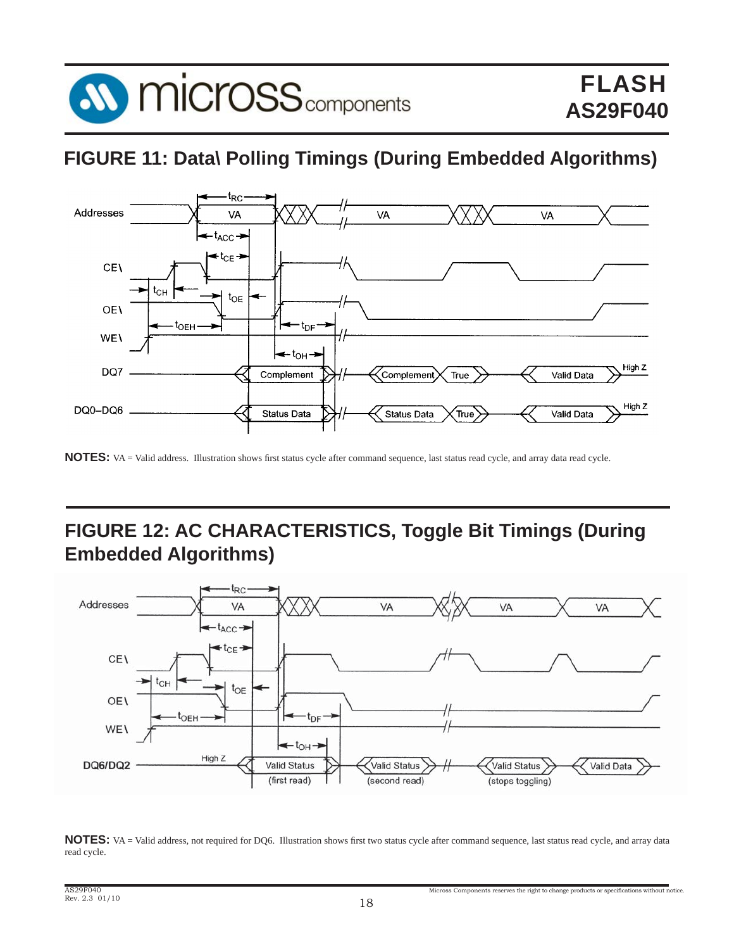

# **FIGURE 11: Data\ Polling Timings (During Embedded Algorithms)**



NOTES: VA = Valid address. Illustration shows first status cycle after command sequence, last status read cycle, and array data read cycle.

# **FIGURE 12: AC CHARACTERISTICS, Toggle Bit Timings (During Embedded Algorithms)**



NOTES: VA = Valid address, not required for DQ6. Illustration shows first two status cycle after command sequence, last status read cycle, and array data read cycle.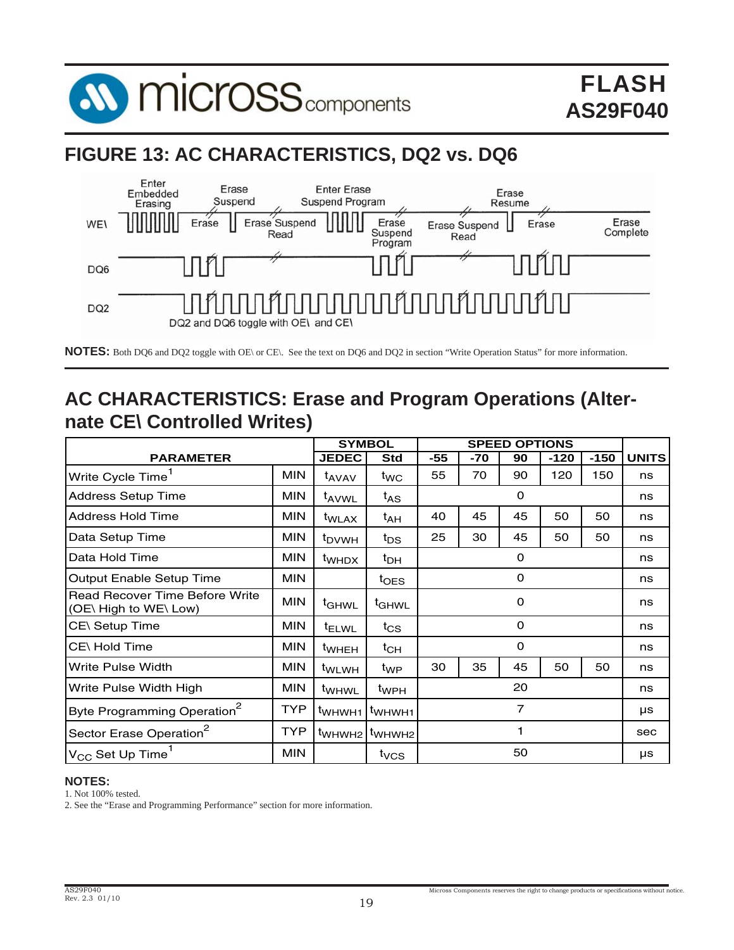

# **FIGURE 13: AC CHARACTERISTICS, DQ2 vs. DQ6**



**NOTES:** Both DQ6 and DQ2 toggle with OE\ or CE\. See the text on DQ6 and DQ2 in section "Write Operation Status" for more information.

# **AC CHARACTERISTICS: Erase and Program Operations (Alternate CE\ Controlled Writes)**

|                                                                |            |                              | <b>SYMBOL</b>      |     | <b>SPEED OPTIONS</b> |             |        |        |              |
|----------------------------------------------------------------|------------|------------------------------|--------------------|-----|----------------------|-------------|--------|--------|--------------|
| <b>PARAMETER</b>                                               |            | <b>JEDEC</b>                 | <b>Std</b>         | -55 | -70                  | 90          | $-120$ | $-150$ | <b>UNITS</b> |
| Write Cycle Time                                               | <b>MIN</b> | t <sub>AVAV</sub>            | $t_{WC}$           | 55  | 70                   | 90          | 120    | 150    | ns           |
| <b>Address Setup Time</b>                                      | <b>MIN</b> | <sup>t</sup> AVWL            | $t_{AS}$           |     |                      | 0           |        |        | ns           |
| <b>Address Hold Time</b>                                       | <b>MIN</b> | <sup>t</sup> WLAX            | t <sub>AH</sub>    | 40  | 45                   | 45          | 50     | 50     | ns           |
| Data Setup Time                                                | <b>MIN</b> | <sup>t</sup> <sub>DVWH</sub> | $t_{DS}$           | 25  | 30                   | 45          | 50     | 50     | ns           |
| Data Hold Time                                                 | <b>MIN</b> | t <sub>WHDX</sub>            | t <sub>DH</sub>    |     |                      | 0           |        |        | ns           |
| Output Enable Setup Time                                       | <b>MIN</b> |                              | $t_{OES}$          |     |                      | 0           |        |        | ns           |
| <b>Read Recover Time Before Write</b><br>(OE\ High to WE\ Low) | <b>MIN</b> | <sup>t</sup> GHWL            | <sup>t</sup> GHWL  | 0   |                      |             | ns     |        |              |
| CE\ Setup Time                                                 | <b>MIN</b> | <sup>t</sup> ELWL            | $t_{CS}$           |     |                      | $\mathbf 0$ |        |        | ns           |
| CE\Hold Time                                                   | <b>MIN</b> | <sup>t</sup> WHEH            | $t_{CH}$           |     |                      | 0           |        |        | ns           |
| Write Pulse Width                                              | <b>MIN</b> | t <sub>WLWH</sub>            | $t_{WP}$           | 30  | 35                   | 45          | 50     | 50     | ns           |
| Write Pulse Width High                                         | <b>MIN</b> | <sup>t</sup> WHWL            | t <sub>WPH</sub>   |     |                      | 20          |        |        | ns           |
| Byte Programming Operation <sup>2</sup>                        | <b>TYP</b> | t <sub>WHWH1</sub>           | t <sub>WHWH1</sub> | 7   |                      |             | μs     |        |              |
| Sector Erase Operation <sup>2</sup>                            | <b>TYP</b> | <sup>t</sup> WHWH2           | t <sub>WHWH2</sub> | ٦   |                      |             | sec    |        |              |
| $\mathsf{IV}_{\mathsf{CC}}$ Set Up Time $^{\mathsf{T}}$        | <b>MIN</b> |                              | t <sub>vcs</sub>   |     |                      | 50          |        |        | μs           |

### **NOTES:**

1. Not 100% tested.

2. See the "Erase and Programming Performance" section for more information.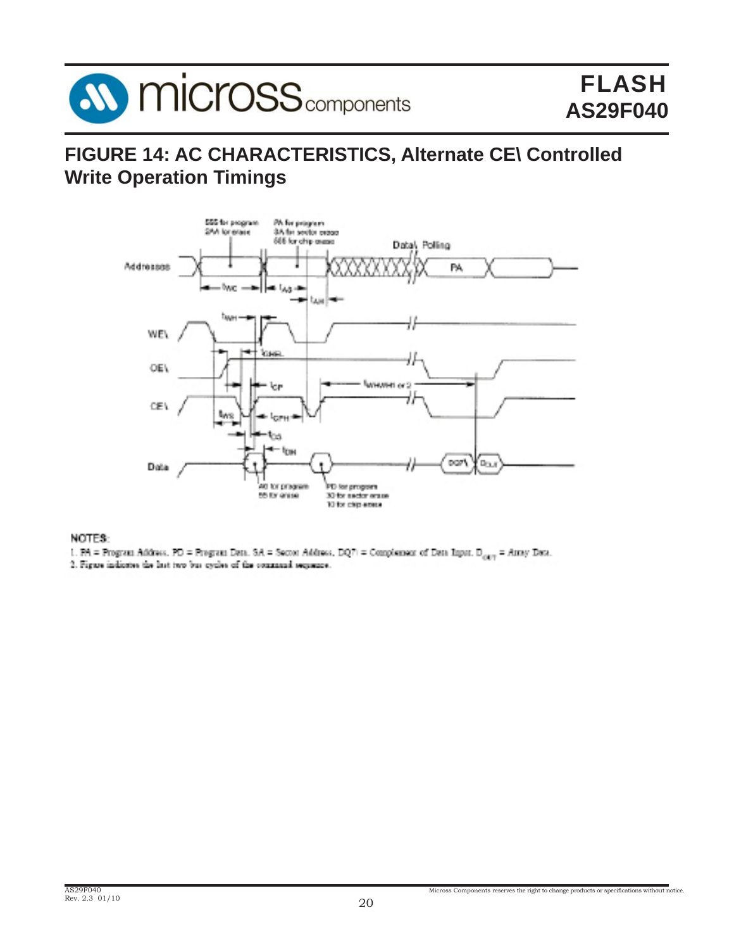

# **FIGURE 14: AC CHARACTERISTICS, Alternate CE\ Controlled Write Operation Timings**



### NOTES:

1. PA = Program Address, PD = Program Deta, SA = Sector Address, DQ7) = Complement of Deta Input, D<sub>eta</sub> = Array Deta,

2. Figure indicates the last two bus cycles of the command sequence.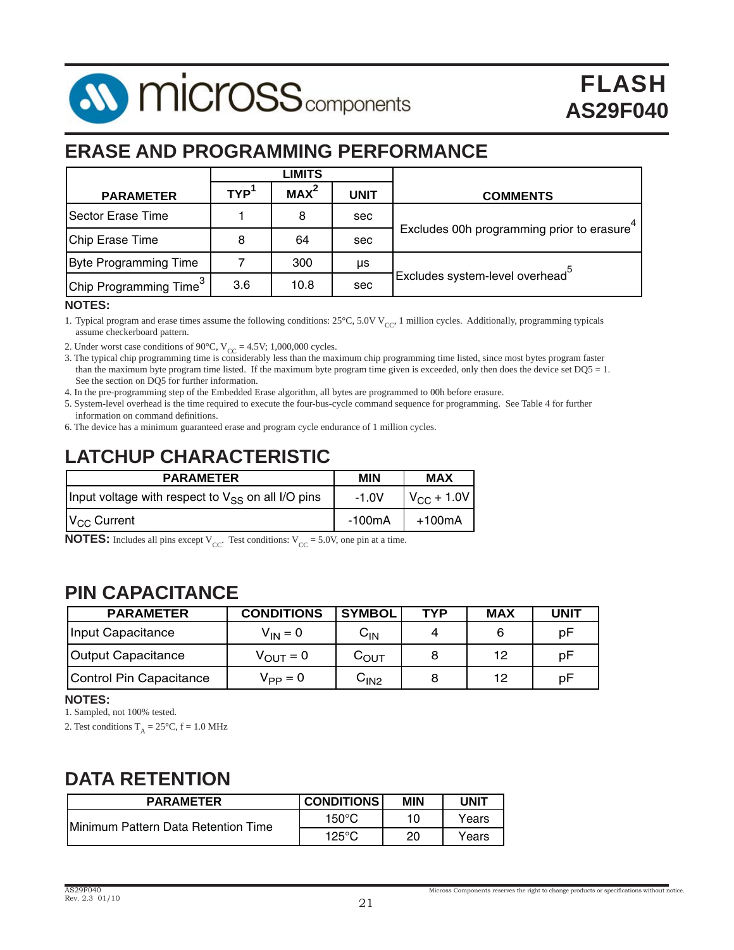

# **ERASE AND PROGRAMMING PERFORMANCE**

|                                    | LIMITS           |                  |      |                                             |
|------------------------------------|------------------|------------------|------|---------------------------------------------|
| <b>PARAMETER</b>                   | TYP <sup>1</sup> | MAX <sup>2</sup> | UNIT | <b>COMMENTS</b>                             |
| Sector Erase Time                  |                  | 8                | sec  |                                             |
| Chip Erase Time                    | 8                | 64               | sec  | Excludes 00h programming prior to erasure   |
| <b>Byte Programming Time</b>       |                  | 300              | μs   |                                             |
| Chip Programming Time <sup>3</sup> | 3.6              | 10.8             | sec  | Excludes system-level overhead <sup>3</sup> |

### **NOTES:**

1. Typical program and erase times assume the following conditions:  $25^{\circ}$ C,  $5.0V$  V<sub>CC</sub>, 1 million cycles. Additionally, programming typicals assume checkerboard pattern.

2. Under worst case conditions of 90°C,  $V_{CC} = 4.5V$ ; 1,000,000 cycles.<br>3. The typical chip programming time is considerably less than the maximum chip programming time listed, since most bytes program faster than the maximum byte program time listed. If the maximum byte program time given is exceeded, only then does the device set DQ5 = 1. See the section on DQ5 for further information.

4. In the pre-programming step of the Embedded Erase algorithm, all bytes are programmed to 00h before erasure.

5. System-level overhead is the time required to execute the four-bus-cycle command sequence for programming. See Table 4 for further information on command definitions.

6. The device has a minimum guaranteed erase and program cycle endurance of 1 million cycles.

# **LATCHUP CHARACTERISTIC**

| <b>PARAMETER</b>                                       | <b>MIN</b> | <b>MAX</b>          |
|--------------------------------------------------------|------------|---------------------|
| Input voltage with respect to $V_{SS}$ on all I/O pins | $-1.0V$    | $V_{\rm CC}$ + 1.0V |
| $V_{CC}$ Current                                       | -100mA     | +100mA              |

**NOTES:** Includes all pins except  $V_{CC}$ . Test conditions:  $V_{CC} = 5.0V$ , one pin at a time.

# **PIN CAPACITANCE**

| <b>PARAMETER</b>        | <b>CONDITIONS</b>    | <b>SYMBOL</b>              | TYP | <b>MAX</b> | <b>UNIT</b> |
|-------------------------|----------------------|----------------------------|-----|------------|-------------|
| Input Capacitance       | $V_{IN} = 0$         | $\mathsf{C}_{\mathsf{IN}}$ | 4   |            | рF          |
| Output Capacitance      | $V_{\text{OUT}} = 0$ | $C_{\text{OUT}}$           |     | 12         | рF          |
| Control Pin Capacitance | $V_{PP} = 0$         | C <sub>IN2</sub>           |     | 12         | рF          |

### **NOTES:**

1. Sampled, not 100% tested.

2. Test conditions  $T_A = 25^{\circ}C$ ,  $f = 1.0$  MHz

# **DATA RETENTION**

| <b>PARAMETER</b>                    | <b>CONDITIONS</b> | MIN | <b>UNIT</b> |
|-------------------------------------|-------------------|-----|-------------|
| Minimum Pattern Data Retention Time | $150^{\circ}$ C   |     | Years       |
|                                     | $125^{\circ}$ C   | 20  | Years       |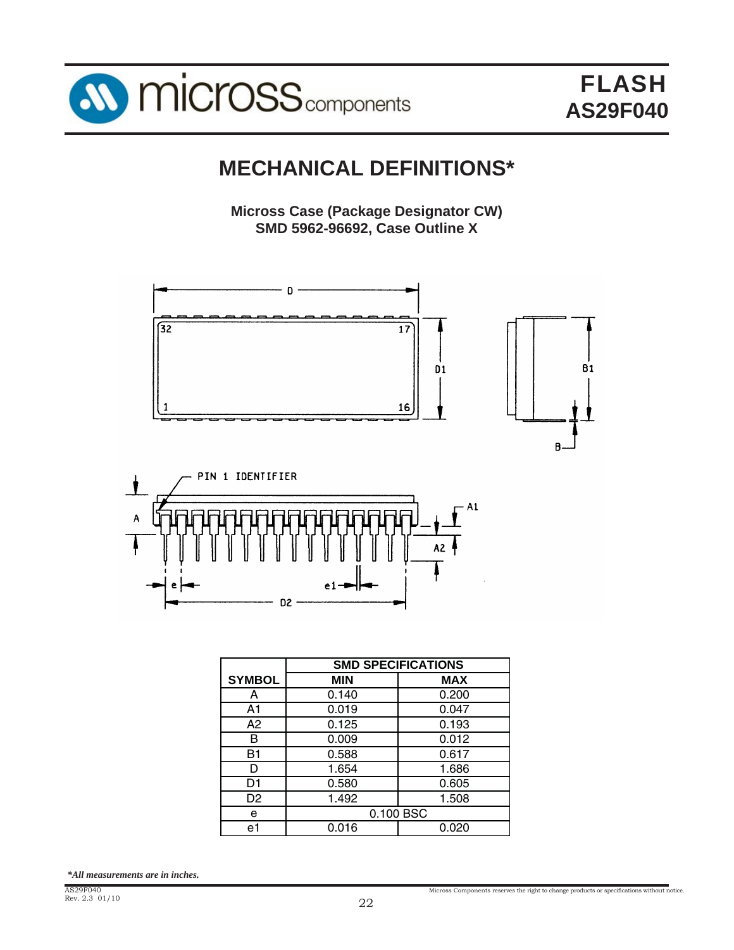

# **MECHANICAL DEFINITIONS\***

**Micross Case (Package Designator CW) SMD 5962-96692, Case Outline X**





|               | <b>SMD SPECIFICATIONS</b> |            |  |  |
|---------------|---------------------------|------------|--|--|
| <b>SYMBOL</b> | <b>MIN</b>                | <b>MAX</b> |  |  |
| А             | 0.140                     | 0.200      |  |  |
| A1            | 0.019                     | 0.047      |  |  |
| A2            | 0.125                     | 0.193      |  |  |
| в             | 0.009                     | 0.012      |  |  |
| B1            | 0.588                     | 0.617      |  |  |
| D             | 1.654                     | 1.686      |  |  |
| D1            | 0.580                     | 0.605      |  |  |
| D2            | 1.492                     | 1.508      |  |  |
| е             | 0.100 BSC                 |            |  |  |
| e1            | 0.016                     | 0.020      |  |  |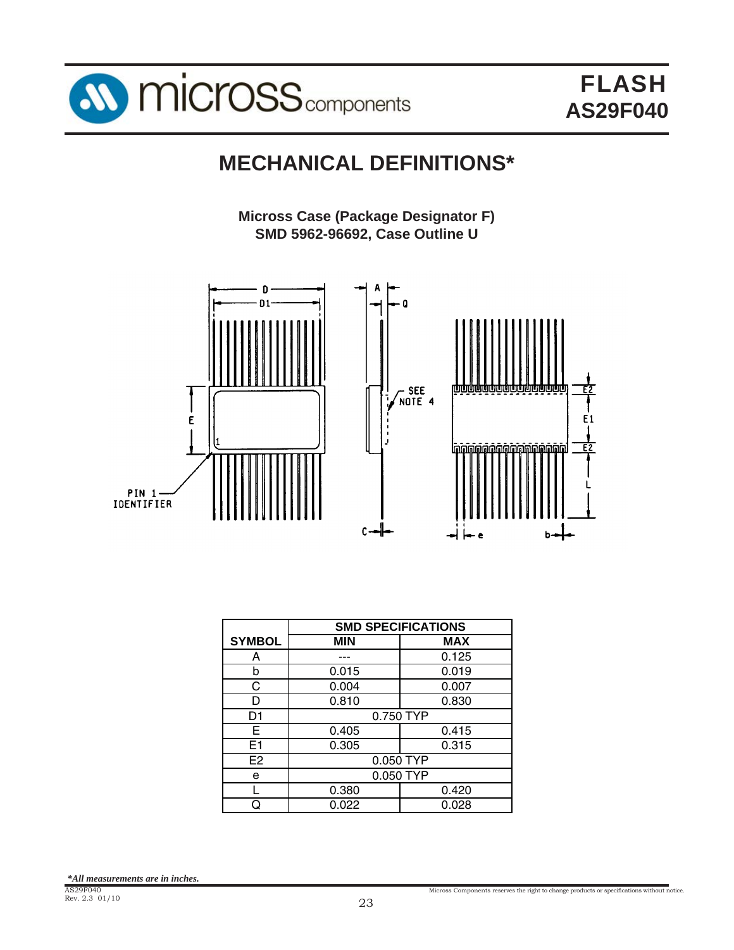

# **MECHANICAL DEFINITIONS\***

**Micross Case (Package Designator F) SMD 5962-96692, Case Outline U**



|                |            | <b>SMD SPECIFICATIONS</b> |  |  |  |  |
|----------------|------------|---------------------------|--|--|--|--|
| <b>SYMBOL</b>  | <b>MIN</b> | <b>MAX</b>                |  |  |  |  |
| А              |            | 0.125                     |  |  |  |  |
| b              | 0.015      | 0.019                     |  |  |  |  |
| C              | 0.004      | 0.007                     |  |  |  |  |
| D              | 0.810      | 0.830                     |  |  |  |  |
| D1             |            | 0.750 TYP                 |  |  |  |  |
| Е              | 0.405      | 0.415                     |  |  |  |  |
| E <sub>1</sub> | 0.305      | 0.315                     |  |  |  |  |
| E <sub>2</sub> |            | 0.050 TYP                 |  |  |  |  |
| е              | 0.050 TYP  |                           |  |  |  |  |
|                | 0.380      | 0.420                     |  |  |  |  |
|                | 0.022      | 0.028                     |  |  |  |  |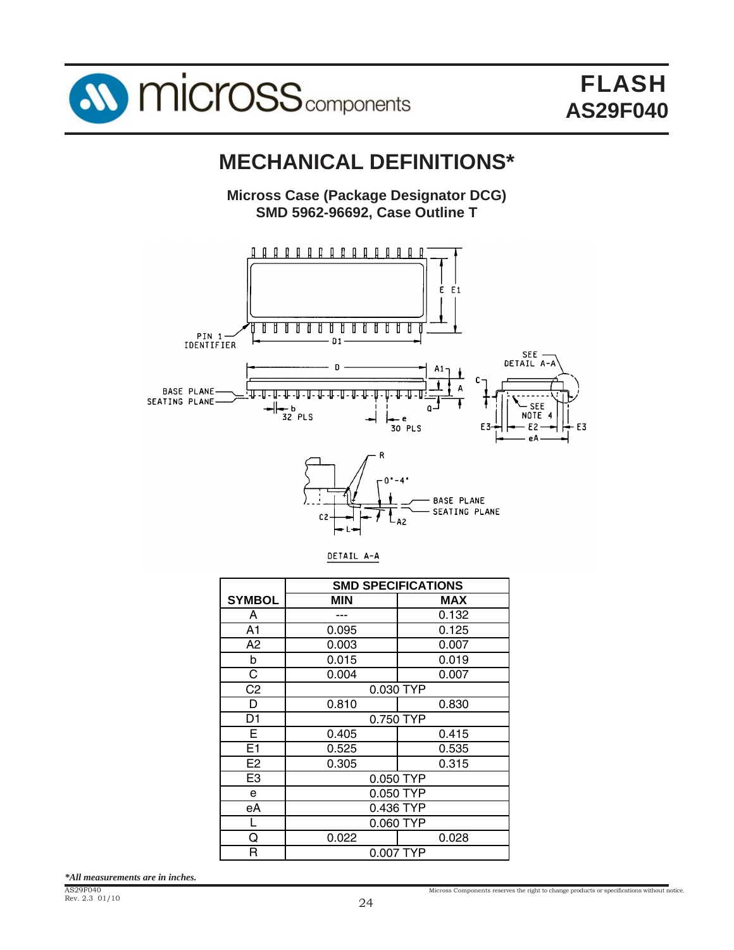

# **MECHANICAL DEFINITIONS\***

**Micross Case (Package Designator DCG) SMD 5962-96692, Case Outline T**





|                | <b>SMD SPECIFICATIONS</b> |            |  |  |
|----------------|---------------------------|------------|--|--|
| <b>SYMBOL</b>  | <b>MIN</b>                | <b>MAX</b> |  |  |
| A              |                           | 0.132      |  |  |
| A <sub>1</sub> | 0.095                     | 0.125      |  |  |
| A <sub>2</sub> | 0.003                     | 0.007      |  |  |
| b              | 0.015                     | 0.019      |  |  |
| C              | 0.004                     | 0.007      |  |  |
| C <sub>2</sub> | 0.030 TYP                 |            |  |  |
| D              | 0.810                     | 0.830      |  |  |
| D <sub>1</sub> |                           | 0.750 TYP  |  |  |
| Е              | 0.405                     | 0.415      |  |  |
| E <sub>1</sub> | 0.525                     | 0.535      |  |  |
| E <sub>2</sub> | 0.305                     | 0.315      |  |  |
| E <sub>3</sub> |                           | 0.050 TYP  |  |  |
| e              | 0.050 TYP                 |            |  |  |
| еA             | 0.436 TYP                 |            |  |  |
| L              | 0.060 TYP                 |            |  |  |
| ი              | 0.022                     | 0.028      |  |  |
| R              | 0.007 TYP                 |            |  |  |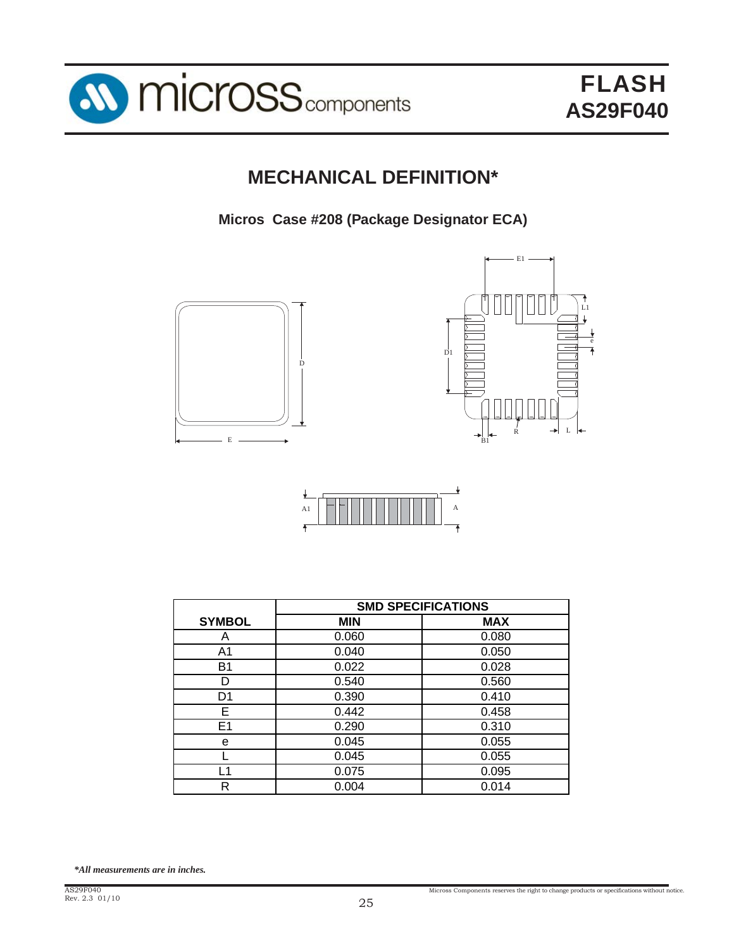

# **MECHANICAL DEFINITION\***

**Micros Case #208 (Package Designator ECA)**







|                | <b>SMD SPECIFICATIONS</b> |            |  |  |
|----------------|---------------------------|------------|--|--|
| <b>SYMBOL</b>  | <b>MIN</b>                | <b>MAX</b> |  |  |
| А              | 0.060                     | 0.080      |  |  |
| A1             | 0.040                     | 0.050      |  |  |
| <b>B1</b>      | 0.022                     | 0.028      |  |  |
| D              | 0.540                     | 0.560      |  |  |
| D <sub>1</sub> | 0.390                     | 0.410      |  |  |
| Е              | 0.442                     | 0.458      |  |  |
| E1             | 0.290                     | 0.310      |  |  |
| e              | 0.045                     | 0.055      |  |  |
|                | 0.045                     | 0.055      |  |  |
| 1              | 0.075                     | 0.095      |  |  |
| R              | 0.004                     | 0.014      |  |  |
|                |                           |            |  |  |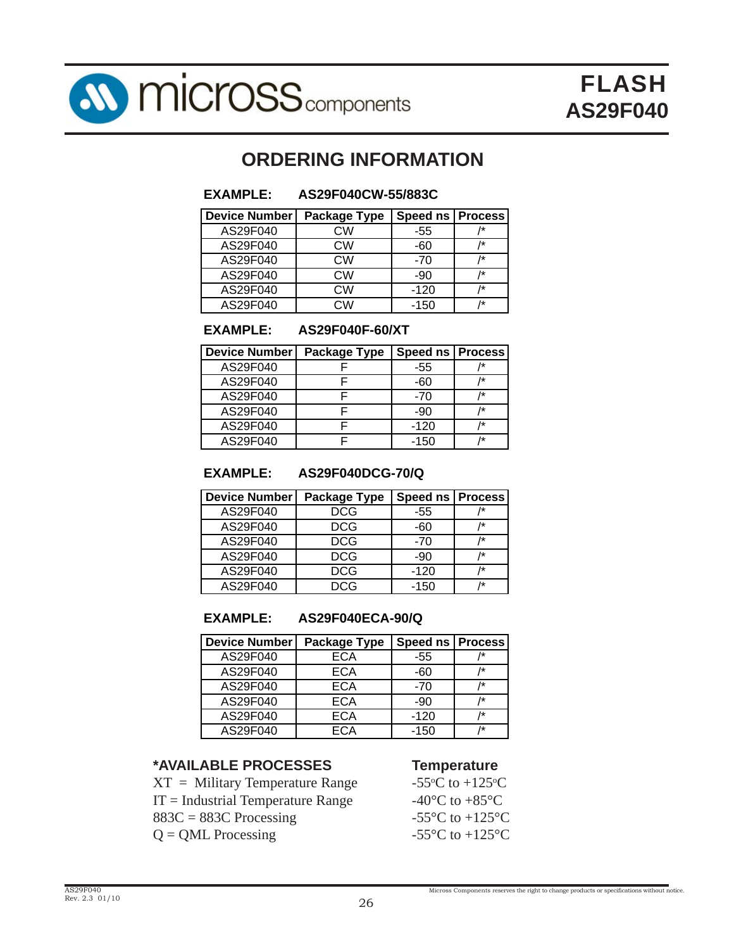

# **ORDERING INFORMATION**

# **EXAMPLE: AS29F040CW-55/883C**

| <b>Device Number</b> | Package Type | Speed ns   Process |    |
|----------------------|--------------|--------------------|----|
| AS29F040             | CW           | -55                | /* |
| AS29F040             | СW           | -60                | /* |
| AS29F040             | СW           | $-70$              | /* |
| AS29F040             | <b>CW</b>    | -90                | /* |
| AS29F040             | СW           | $-120$             | /* |
| AS29F040             | วW           | $-150$             | /* |

### **EXAMPLE: AS29F040F-60/XT**

| <b>Device Number</b> | <b>Package Type</b> | Speed ns   Process |    |
|----------------------|---------------------|--------------------|----|
| AS29F040             |                     | -55                |    |
| AS29F040             |                     | -60                | /* |
| AS29F040             |                     | -70                | /* |
| AS29F040             |                     | -90                | /* |
| AS29F040             |                     | $-120$             | /* |
| AS29F040             |                     | $-150$             | 1÷ |

### **EXAMPLE: AS29F040DCG-70/Q**

| Device Number | <b>Package Type</b> | <b>Speed ns   Process</b> |    |
|---------------|---------------------|---------------------------|----|
| AS29F040      | DCG                 | -55                       |    |
| AS29F040      | DCG                 | -60                       | /* |
| AS29F040      | <b>DCG</b>          | $-70$                     | 1* |
| AS29F040      | DCG                 | -90                       | /* |
| AS29F040      | DCG                 | $-120$                    | 1* |
| AS29F040      | DCG                 | $-150$                    | 1* |

### **EXAMPLE: AS29F040ECA-90/Q**

### **Device Number | Package Type | Speed ns | Process** AS29F040 ECA -55 /\* AS29F040 ECA -60 /\* AS29F040 ECA -70 /\* AS29F040 ECA -90 /\* AS29F040 | ECA | -120 | /\* AS29F040 ECA -150 /\*

# **\*AVAILABLE PROCESSES Temperature**

 $XT = Military Temperature Range$ IT = Industrial Temperature Range  $-40^{\circ}$ C to  $+85^{\circ}$ C  $883C = 883C$  Processing  $-55^{\circ}C$  to  $+125^{\circ}C$  $Q = QML$  Processing  $-55^{\circ}C$  to  $+125^{\circ}C$ 

C to  $+125$ <sup>o</sup>C